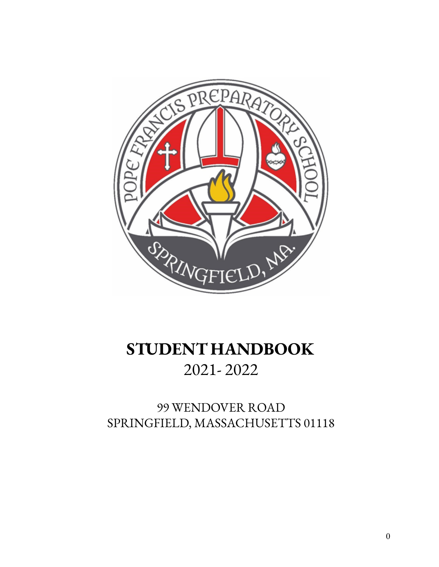

# **STUDENT HANDBOOK** 2021- 2022

## 99 WENDOVER ROAD SPRINGFIELD, MASSACHUSETTS 01118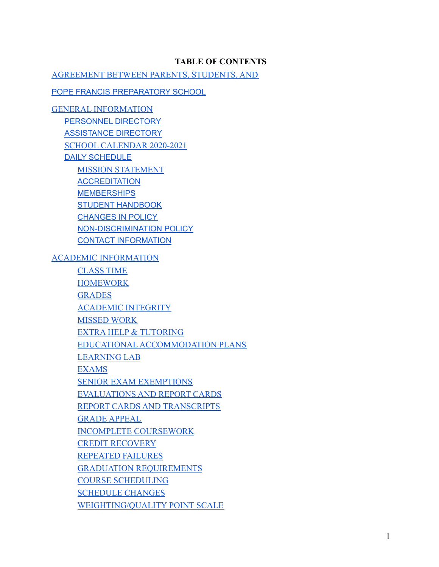#### **TABLE OF CONTENTS**

[AGREEMENT BETWEEN PARENTS, STUDENTS, AND](#page-5-0)

POPE FRANCIS [PREPARATORY](#page-5-1) SCHOOL

[GENERAL INFORMATION](#page-6-0) [PERSONNEL](#page-6-1) DIRECTORY [ASSISTANCE](#page-7-0) DIRECTORY [SCHOOL CALENDAR 2020-2021](#page-8-0) DAILY [SCHEDULE](#page-9-0) [MISSION STATEMENT](#page-10-0) **[ACCREDITATION](#page-10-1) [MEMBERSHIPS](#page-10-2)** STUDENT [HANDBOOK](#page-10-3) [CHANGES](#page-10-4) IN POLICY [NON-DISCRIMINATION](#page-11-0) POLICY CONTACT INFORMATION [ACADEMIC INFORMATION](#page-11-1) CLASS TIME **[HOMEWORK](#page-12-0) [GRADES](#page-12-1)** [ACADEMIC INTEGRITY](#page-11-2) [MISSED WORK](#page-12-2) [EXTRA HELP & TUTORING](#page-12-3) EDUCATIONAL [ACCOMMODATION PLANS](#page-13-0) [LEARNING LAB](#page-13-1) [EXAMS](#page-13-2) [SENIOR EXAM EXEMPTIONS](#page-13-3) [EVALUATIONS AND REPORT CARDS](#page-13-4) [REPORT CARDS AND TRANSCRIPTS](#page-13-5) [GRADE APPEAL](#page-14-0) [INCOMPLETE COURSEWORK](#page-14-1) [CREDIT RECOVERY](#page-14-2) [REPEATED FAILURES](#page-14-3) [GRADUATION REQUIREMENTS](#page-14-4) [COURSE SCHEDULING](#page-15-0) [SCHEDULE CHANGES](#page-15-1) WEIGHTING/QUALITY POINT SCALE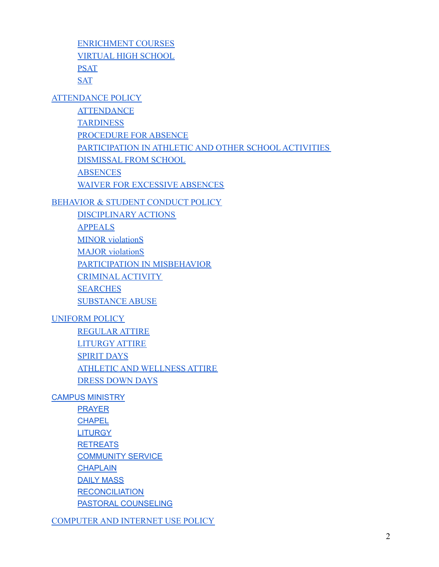[ENRICHMENT COURSES](#page-15-2) [VIRTUAL HIGH SCHOOL](#page-15-3) [PSAT](#page-16-0) **[SAT](#page-16-1)** 

[ATTENDANCE POLICY](#page-16-2)

**[ATTENDANCE](#page-16-3)** [TARDINESS](#page-17-0) [PROCEDURE FOR ABSENCE](#page-17-1) [PARTICIPATION IN ATHLETIC AND OTHER SCHOOL](#page-17-2) ACTIVITIES [DISMISSAL FROM SCHOOL](#page-17-3) **[ABSENCES](#page-17-4)** [WAIVER FOR EXCESSIVE ABSENCES](#page-17-5)

[BEHAVIOR & STUDENT CONDUCT POLICY](#page-19-0)

DISCIPLINARY ACTIONS [APPEALS](#page-22-0) **MINOR** violationS [MAJOR violationS](#page-23-0) [PARTICIPATION IN MISBEHAVIOR](#page-20-0) [CRIMINAL](#page-20-1) ACTIVITY **[SEARCHES](#page-20-2)** [SUBSTANCE ABUSE](#page-20-3)

[UNIFORM POLICY](#page-25-0)

[REGULAR ATTIRE](#page-25-1) LITURGY ATTIRE [SPIRIT DAYS](#page-27-0) [ATHLETIC AND WELLNESS ATTIRE](#page-27-1) DRESS DOWN DAYS

CAMPUS [MINISTRY](#page-28-0)

**[PRAYER](#page-28-1) [CHAPEL](#page-28-2) [LITURGY](#page-29-0) [RETREATS](#page-29-1) [COMMUNITY](#page-29-2) SERVICE [CHAPLAIN](#page-29-3)** DAILY [MASS](#page-29-4) **[RECONCILIATION](#page-29-5)** PASTORAL [COUNSELING](#page-30-0)

[COMPUTER AND INTERNET USE POLICY](#page-30-1)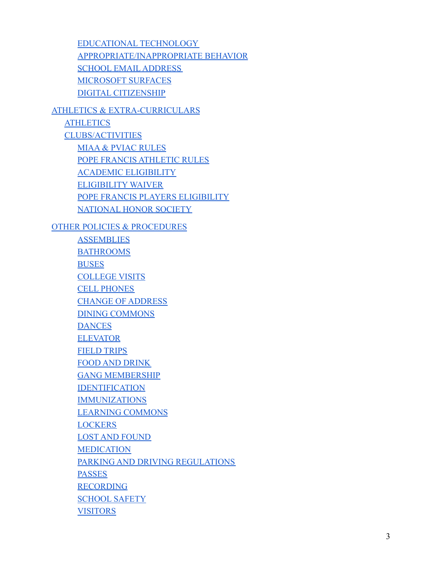[EDUCATIONAL](#page-30-2) TECHNOLOGY [APPROPRIATE/INAPPROPRIATE BEHAVIOR](#page-30-3) [SCHOOL EMAIL](#page-30-4) ADDRESS [MICROSOFT SURFACES](#page-30-5) [DIGITAL CITIZENSHIP](#page-31-0) [ATHLETICS & EXTRA-CURRICULARS](#page-31-1) **[ATHLETICS](#page-31-2)** [CLUBS/ACTIVITIES](#page-31-3) [MIAA & PVIAC RULES](#page-32-0) [POPE FRANCIS ATHLETIC RULES](#page-32-1) [ACADEMIC ELIGIBILITY](#page-33-0) [ELIGIBILITY](#page-33-1) WAIVER

> [POPE FRANCIS PLAYERS ELIGIBILITY](#page-33-2) [NATIONAL HONOR SOCIETY](#page-34-0)

[OTHER POLICIES & PROCEDURES](#page-34-1)

**[ASSEMBLIES](#page-34-2)** BATHROOMS **[BUSES](#page-34-3)** [COLLEGE VISITS](#page-34-4) [CELL PHONES](#page-34-5) [CHANGE OF ADDRESS](#page-34-6) [DINING COMMONS](#page-35-0) **[DANCES](#page-35-1)** [ELEVATOR](#page-35-2) [FIELD TRIPS](#page-35-3) [FOOD AND DRINK](#page-35-4) [GANG MEMBERSHIP](#page-35-5) [IDENTIFICATION](#page-36-0) [IMMUNIZATIONS](#page-36-1) LEARNING COMMONS **[LOCKERS](#page-37-0)** LOST [AND FOUND](#page-37-1) [MEDICATION](#page-37-2) [PARKING AND DRIVING REGULATIONS](#page-37-3) [PASSES](#page-38-0) [RECORDING](#page-38-1) [SCHOOL SAFETY](#page-38-2) **[VISITORS](#page-39-0)**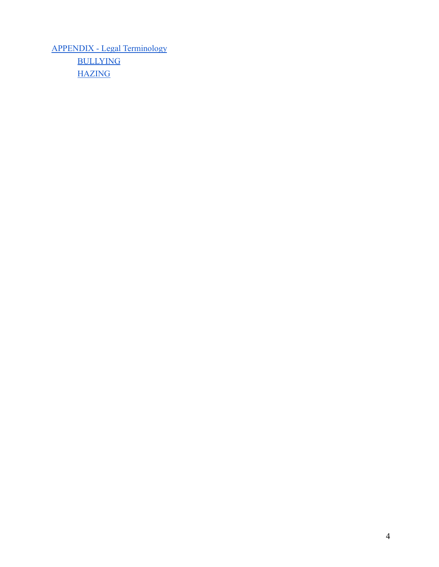[APPENDIX - Legal Terminology](#page-40-0) [BULLYING](#page-40-1) **[HAZING](#page-41-0)**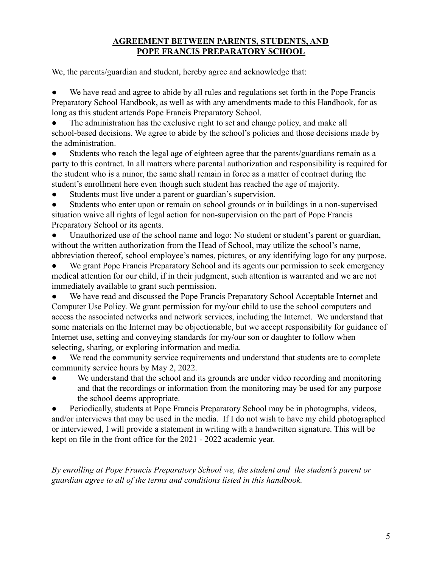## **AGREEMENT BETWEEN PARENTS, STUDENTS, AND POPE FRANCIS PREPARATORY SCHOOL**

<span id="page-5-1"></span><span id="page-5-0"></span>We, the parents/guardian and student, hereby agree and acknowledge that:

We have read and agree to abide by all rules and regulations set forth in the Pope Francis Preparatory School Handbook, as well as with any amendments made to this Handbook, for as long as this student attends Pope Francis Preparatory School.

The administration has the exclusive right to set and change policy, and make all school-based decisions. We agree to abide by the school's policies and those decisions made by the administration.

Students who reach the legal age of eighteen agree that the parents/guardians remain as a party to this contract. In all matters where parental authorization and responsibility is required for the student who is a minor, the same shall remain in force as a matter of contract during the student's enrollment here even though such student has reached the age of majority.

● Students must live under a parent or guardian's supervision.

● Students who enter upon or remain on school grounds or in buildings in a non-supervised situation waive all rights of legal action for non-supervision on the part of Pope Francis Preparatory School or its agents.

Unauthorized use of the school name and logo: No student or student's parent or guardian, without the written authorization from the Head of School, may utilize the school's name, abbreviation thereof, school employee's names, pictures, or any identifying logo for any purpose.

We grant Pope Francis Preparatory School and its agents our permission to seek emergency medical attention for our child, if in their judgment, such attention is warranted and we are not immediately available to grant such permission.

● We have read and discussed the Pope Francis Preparatory School Acceptable Internet and Computer Use Policy. We grant permission for my/our child to use the school computers and access the associated networks and network services, including the Internet. We understand that some materials on the Internet may be objectionable, but we accept responsibility for guidance of Internet use, setting and conveying standards for my/our son or daughter to follow when selecting, sharing, or exploring information and media.

We read the community service requirements and understand that students are to complete community service hours by May 2, 2022.

We understand that the school and its grounds are under video recording and monitoring and that the recordings or information from the monitoring may be used for any purpose the school deems appropriate.

Periodically, students at Pope Francis Preparatory School may be in photographs, videos, and/or interviews that may be used in the media. If I do not wish to have my child photographed or interviewed, I will provide a statement in writing with a handwritten signature. This will be kept on file in the front office for the 2021 - 2022 academic year.

*By enrolling at Pope Francis Preparatory School we, the student and the student's parent or guardian agree to all of the terms and conditions listed in this handbook.*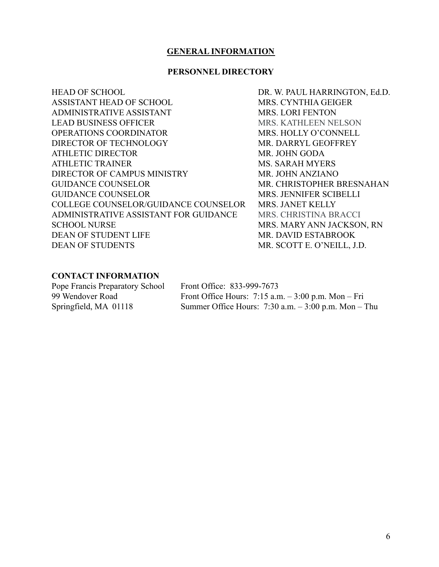#### **GENERAL INFORMATION**

#### **PERSONNEL DIRECTORY**

<span id="page-6-1"></span><span id="page-6-0"></span>

| <b>HEAD OF SCHOOL</b>                 |
|---------------------------------------|
| <b>ASSISTANT HEAD OF SCHOOL</b>       |
| ADMINISTRATIVE ASSISTANT              |
| <b>LEAD BUSINESS OFFICER</b>          |
| <b>OPERATIONS COORDINATOR</b>         |
| DIRECTOR OF TECHNOLOGY                |
| <b>ATHLETIC DIRECTOR</b>              |
| ATHLETIC TRAINER                      |
| DIRECTOR OF CAMPUS MINISTRY           |
| <b>GUIDANCE COUNSELOR</b>             |
| <b>GUIDANCE COUNSELOR</b>             |
| COLLEGE COUNSELOR/GUIDANCE COUNSELOR  |
| ADMINISTRATIVE ASSISTANT FOR GUIDANCE |
| <b>SCHOOL NURSE</b>                   |
| <b>DEAN OF STUDENT LIFE</b>           |
| <b>DEAN OF STUDENTS</b>               |

DR. W. PAUL HARRINGTON, Ed.D. MRS. CYNTHIA GEIGER MRS. LORI FENTON MRS. KATHLEEN NELSON MRS. HOLLY O'CONNELL MR. DARRYL GEOFFREY MR. JOHN GODA MS. SARAH MYERS MR. JOHN ANZIANO MR. CHRISTOPHER BRESNAHAN MRS. JENNIFER SCIBELLI MRS. JANET KELLY MRS. CHRISTINA BRACCI MRS. MARY ANN JACKSON, RN MR. DAVID ESTABROOK MR. SCOTT E. O'NEILL, J.D.

#### **CONTACT INFORMATION**

Pope Francis Preparatory School Front Office: 833-999-7673

99 Wendover Road Front Office Hours: 7:15 a.m. – 3:00 p.m. Mon – Fri Springfield, MA 01118 Summer Office Hours: 7:30 a.m. – 3:00 p.m. Mon – Thu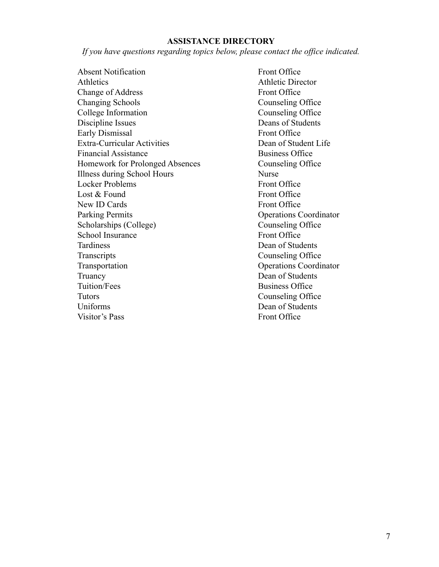#### **ASSISTANCE DIRECTORY**

<span id="page-7-0"></span>*If you have questions regarding topics below, please contact the office indicated.*

Absent Notification Front Office Athletics **Athletic Director** Athletic Director Change of Address Front Office Changing Schools Counseling Office College Information Counseling Office Discipline Issues Deans of Students Early Dismissal Front Office Extra-Curricular Activities Dean of Student Life Financial Assistance Business Office Homework for Prolonged Absences Counseling Office Illness during School Hours Nurse Locker Problems Front Office Lost & Found Front Office New ID Cards Front Office Parking Permits **Operations** Coordinator Scholarships (College) Counseling Office School Insurance Front Office Tardiness Dean of Students Transcripts Counseling Office Transportation Operations Coordinator Truancy Dean of Students Tuition/Fees Business Office Tutors Counseling Office Uniforms Dean of Students Visitor's Pass Front Office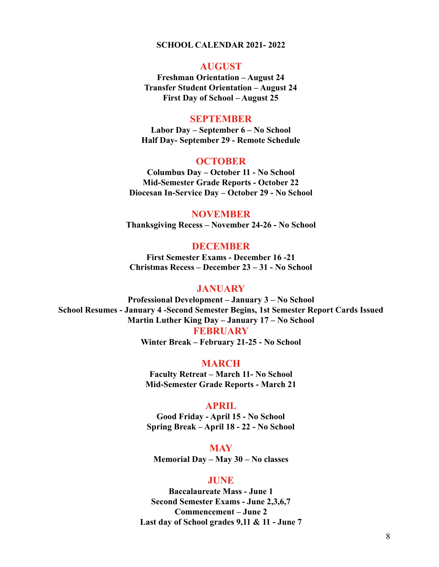#### **SCHOOL CALENDAR 2021- 2022**

#### **AUGUST**

<span id="page-8-0"></span>**Freshman Orientation – August 24 Transfer Student Orientation – August 24 First Day of School – August 25**

#### **SEPTEMBER**

**Labor Day – September 6 – No School Half Day- September 29 - Remote Schedule**

#### **OCTOBER**

**Columbus Day – October 11 - No School Mid-Semester Grade Reports - October 22 Diocesan In-Service Day – October 29 - No School**

#### **NOVEMBER**

**Thanksgiving Recess – November 24-26 - No School**

#### **DECEMBER**

**First Semester Exams - December 16 -21 Christmas Recess – December 23 – 31 - No School**

#### **JANUARY**

**Professional Development – January 3 – No School School Resumes - January 4 -Second Semester Begins, 1st Semester Report Cards Issued Martin Luther King Day – January 17 – No School**

**FEBRUARY**

**Winter Break – February 21-25 - No School**

**MARCH**

**Faculty Retreat – March 11- No School Mid-Semester Grade Reports - March 21**

#### **APRIL**

**Good Friday - April 15 - No School Spring Break – April 18 - 22 - No School**

**MAY Memorial Day – May 30 – No classes**

#### **JUNE**

**Baccalaureate Mass - June 1 Second Semester Exams - June 2,3,6,7 Commencement – June 2 Last day of School grades 9,11 & 11 - June 7**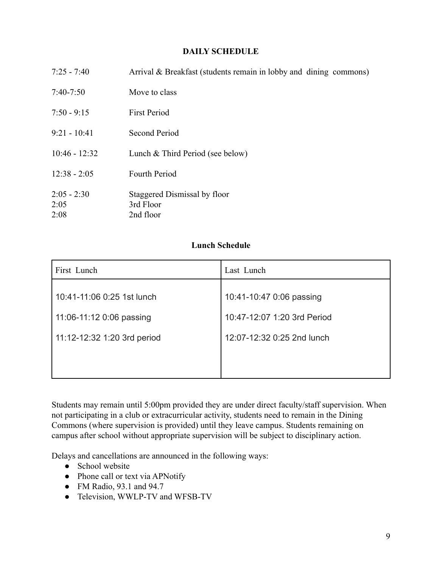#### **DAILY SCHEDULE**

<span id="page-9-0"></span>

| $7:25 - 7:40$                 | Arrival & Breakfast (students remain in lobby and dining commons) |
|-------------------------------|-------------------------------------------------------------------|
| $7:40-7:50$                   | Move to class                                                     |
| $7:50 - 9:15$                 | <b>First Period</b>                                               |
| $9:21 - 10:41$                | <b>Second Period</b>                                              |
| $10:46 - 12:32$               | Lunch $&$ Third Period (see below)                                |
| $12:38 - 2:05$                | <b>Fourth Period</b>                                              |
| $2:05 - 2:30$<br>2:05<br>2:08 | Staggered Dismissal by floor<br>3rd Floor<br>2nd floor            |

## **Lunch Schedule**

| Last Lunch                  |
|-----------------------------|
| 10:41-10:47 0:06 passing    |
| 10:47-12:07 1:20 3rd Period |
| 12:07-12:32 0:25 2nd lunch  |
|                             |
|                             |

Students may remain until 5:00pm provided they are under direct faculty/staff supervision. When not participating in a club or extracurricular activity, students need to remain in the Dining Commons (where supervision is provided) until they leave campus. Students remaining on campus after school without appropriate supervision will be subject to disciplinary action.

Delays and cancellations are announced in the following ways:

- School website
- Phone call or text via APNotify
- FM Radio, 93.1 and 94.7
- Television, WWLP-TV and WFSB-TV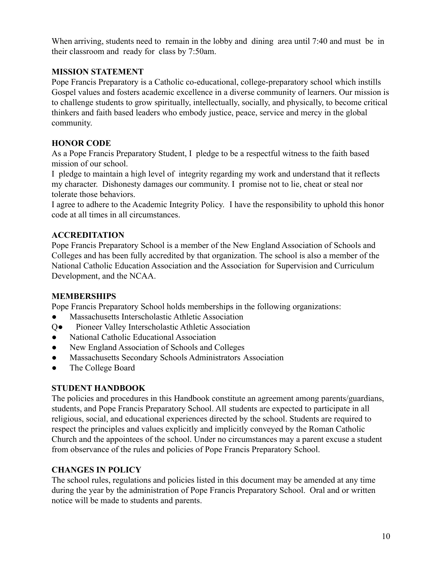When arriving, students need to remain in the lobby and dining area until 7:40 and must be in their classroom and ready for class by 7:50am.

## <span id="page-10-0"></span>**MISSION STATEMENT**

Pope Francis Preparatory is a Catholic co-educational, college-preparatory school which instills Gospel values and fosters academic excellence in a diverse community of learners. Our mission is to challenge students to grow spiritually, intellectually, socially, and physically, to become critical thinkers and faith based leaders who embody justice, peace, service and mercy in the global community.

## **HONOR CODE**

As a Pope Francis Preparatory Student, I pledge to be a respectful witness to the faith based mission of our school.

I pledge to maintain a high level of integrity regarding my work and understand that it reflects my character. Dishonesty damages our community. I promise not to lie, cheat or steal nor tolerate those behaviors.

I agree to adhere to the Academic Integrity Policy. I have the responsibility to uphold this honor code at all times in all circumstances.

## <span id="page-10-1"></span>**ACCREDITATION**

Pope Francis Preparatory School is a member of the New England Association of Schools and Colleges and has been fully accredited by that organization. The school is also a member of the National Catholic Education Association and the Association for Supervision and Curriculum Development, and the NCAA.

#### <span id="page-10-2"></span>**MEMBERSHIPS**

Pope Francis Preparatory School holds memberships in the following organizations:

- Massachusetts Interscholastic Athletic Association
- Q● Pioneer Valley Interscholastic Athletic Association
- National Catholic Educational Association
- New England Association of Schools and Colleges
- Massachusetts Secondary Schools Administrators Association
- The College Board

## <span id="page-10-3"></span>**STUDENT HANDBOOK**

The policies and procedures in this Handbook constitute an agreement among parents/guardians, students, and Pope Francis Preparatory School. All students are expected to participate in all religious, social, and educational experiences directed by the school. Students are required to respect the principles and values explicitly and implicitly conveyed by the Roman Catholic Church and the appointees of the school. Under no circumstances may a parent excuse a student from observance of the rules and policies of Pope Francis Preparatory School.

## <span id="page-10-4"></span>**CHANGES IN POLICY**

The school rules, regulations and policies listed in this document may be amended at any time during the year by the administration of Pope Francis Preparatory School. Oral and or written notice will be made to students and parents.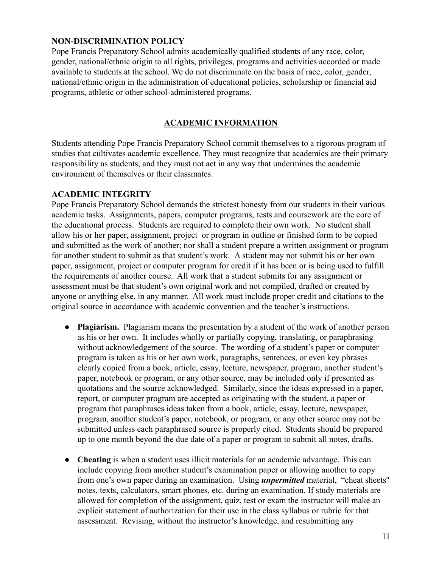#### <span id="page-11-0"></span>**NON-DISCRIMINATION POLICY**

Pope Francis Preparatory School admits academically qualified students of any race, color, gender, national/ethnic origin to all rights, privileges, programs and activities accorded or made available to students at the school. We do not discriminate on the basis of race, color, gender, national/ethnic origin in the administration of educational policies, scholarship or financial aid programs, athletic or other school-administered programs.

#### **ACADEMIC INFORMATION**

<span id="page-11-1"></span>Students attending Pope Francis Preparatory School commit themselves to a rigorous program of studies that cultivates academic excellence. They must recognize that academics are their primary responsibility as students, and they must not act in any way that undermines the academic environment of themselves or their classmates.

#### <span id="page-11-2"></span>**ACADEMIC INTEGRITY**

Pope Francis Preparatory School demands the strictest honesty from our students in their various academic tasks. Assignments, papers, computer programs, tests and coursework are the core of the educational process. Students are required to complete their own work. No student shall allow his or her paper, assignment, project or program in outline or finished form to be copied and submitted as the work of another; nor shall a student prepare a written assignment or program for another student to submit as that student's work. A student may not submit his or her own paper, assignment, project or computer program for credit if it has been or is being used to fulfill the requirements of another course. All work that a student submits for any assignment or assessment must be that student's own original work and not compiled, drafted or created by anyone or anything else, in any manner. All work must include proper credit and citations to the original source in accordance with academic convention and the teacher's instructions.

- **Plagiarism.** Plagiarism means the presentation by a student of the work of another person as his or her own. It includes wholly or partially copying, translating, or paraphrasing without acknowledgement of the source. The wording of a student's paper or computer program is taken as his or her own work, paragraphs, sentences, or even key phrases clearly copied from a book, article, essay, lecture, newspaper, program, another student's paper, notebook or program, or any other source, may be included only if presented as quotations and the source acknowledged. Similarly, since the ideas expressed in a paper, report, or computer program are accepted as originating with the student, a paper or program that paraphrases ideas taken from a book, article, essay, lecture, newspaper, program, another student's paper, notebook, or program, or any other source may not be submitted unless each paraphrased source is properly cited. Students should be prepared up to one month beyond the due date of a paper or program to submit all notes, drafts.
- **Cheating** is when a student uses illicit materials for an academic advantage. This can include copying from another student's examination paper or allowing another to copy from one's own paper during an examination. Using *unpermitted* material, "cheat sheets'' notes, texts, calculators, smart phones, etc. during an examination. If study materials are allowed for completion of the assignment, quiz, test or exam the instructor will make an explicit statement of authorization for their use in the class syllabus or rubric for that assessment. Revising, without the instructor's knowledge, and resubmitting any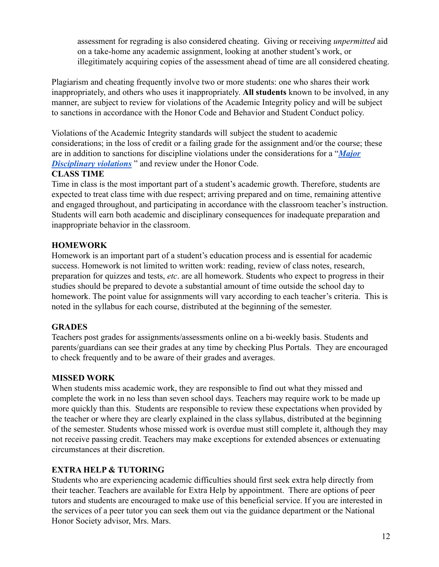assessment for regrading is also considered cheating. Giving or receiving *unpermitted* aid on a take-home any academic assignment, looking at another student's work, or illegitimately acquiring copies of the assessment ahead of time are all considered cheating.

Plagiarism and cheating frequently involve two or more students: one who shares their work inappropriately, and others who uses it inappropriately. **All students** known to be involved, in any manner, are subject to review for violations of the Academic Integrity policy and will be subject to sanctions in accordance with the Honor Code and Behavior and Student Conduct policy.

Violations of the Academic Integrity standards will subject the student to academic considerations; in the loss of credit or a failing grade for the assignment and/or the course; these are in addition to sanctions for discipline violations under the considerations for a "*[Major](#page-23-0) [Disciplinary violations](#page-23-0)* " and review under the Honor Code.

#### **CLASS TIME**

Time in class is the most important part of a student's academic growth. Therefore, students are expected to treat class time with due respect; arriving prepared and on time, remaining attentive and engaged throughout, and participating in accordance with the classroom teacher's instruction. Students will earn both academic and disciplinary consequences for inadequate preparation and inappropriate behavior in the classroom.

## <span id="page-12-0"></span>**HOMEWORK**

Homework is an important part of a student's education process and is essential for academic success. Homework is not limited to written work: reading, review of class notes, research, preparation for quizzes and tests, *etc*. are all homework. Students who expect to progress in their studies should be prepared to devote a substantial amount of time outside the school day to homework. The point value for assignments will vary according to each teacher's criteria. This is noted in the syllabus for each course, distributed at the beginning of the semester.

## <span id="page-12-1"></span>**GRADES**

Teachers post grades for assignments/assessments online on a bi-weekly basis. Students and parents/guardians can see their grades at any time by checking Plus Portals. They are encouraged to check frequently and to be aware of their grades and averages.

## <span id="page-12-2"></span>**MISSED WORK**

When students miss academic work, they are responsible to find out what they missed and complete the work in no less than seven school days. Teachers may require work to be made up more quickly than this. Students are responsible to review these expectations when provided by the teacher or where they are clearly explained in the class syllabus, distributed at the beginning of the semester. Students whose missed work is overdue must still complete it, although they may not receive passing credit. Teachers may make exceptions for extended absences or extenuating circumstances at their discretion.

## <span id="page-12-3"></span>**EXTRA HELP & TUTORING**

Students who are experiencing academic difficulties should first seek extra help directly from their teacher. Teachers are available for Extra Help by appointment. There are options of peer tutors and students are encouraged to make use of this beneficial service. If you are interested in the services of a peer tutor you can seek them out via the guidance department or the National Honor Society advisor, Mrs. Mars.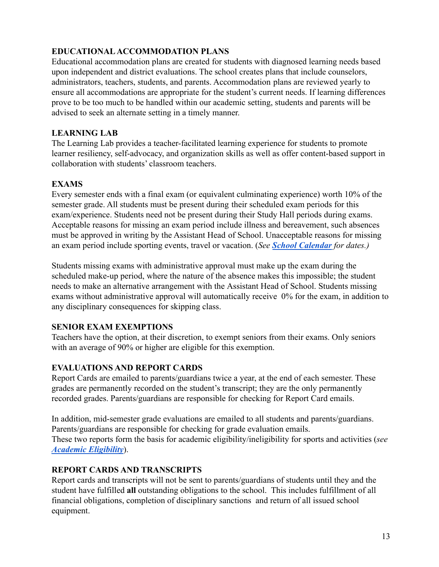## <span id="page-13-0"></span>**EDUCATIONALACCOMMODATION PLANS**

Educational accommodation plans are created for students with diagnosed learning needs based upon independent and district evaluations. The school creates plans that include counselors, administrators, teachers, students, and parents. Accommodation plans are reviewed yearly to ensure all accommodations are appropriate for the student's current needs. If learning differences prove to be too much to be handled within our academic setting, students and parents will be advised to seek an alternate setting in a timely manner.

#### <span id="page-13-1"></span>**LEARNING LAB**

The Learning Lab provides a teacher-facilitated learning experience for students to promote learner resiliency, self-advocacy, and organization skills as well as offer content-based support in collaboration with students' classroom teachers.

#### <span id="page-13-2"></span>**EXAMS**

Every semester ends with a final exam (or equivalent culminating experience) worth 10% of the semester grade. All students must be present during their scheduled exam periods for this exam/experience. Students need not be present during their Study Hall periods during exams. Acceptable reasons for missing an exam period include illness and bereavement, such absences must be approved in writing by the Assistant Head of School. Unacceptable reasons for missing an exam period include sporting events, travel or vacation. (*See [School Calendar](#page-8-0) for dates.)*

Students missing exams with administrative approval must make up the exam during the scheduled make-up period, where the nature of the absence makes this impossible; the student needs to make an alternative arrangement with the Assistant Head of School. Students missing exams without administrative approval will automatically receive 0% for the exam, in addition to any disciplinary consequences for skipping class.

#### <span id="page-13-3"></span>**SENIOR EXAM EXEMPTIONS**

Teachers have the option, at their discretion, to exempt seniors from their exams. Only seniors with an average of 90% or higher are eligible for this exemption.

#### <span id="page-13-4"></span>**EVALUATIONS AND REPORT CARDS**

Report Cards are emailed to parents/guardians twice a year, at the end of each semester. These grades are permanently recorded on the student's transcript; they are the only permanently recorded grades. Parents/guardians are responsible for checking for Report Card emails.

In addition, mid-semester grade evaluations are emailed to all students and parents/guardians. Parents/guardians are responsible for checking for grade evaluation emails. These two reports form the basis for academic eligibility/ineligibility for sports and activities (*see [Academic Eligibility](#page-33-0)*).

#### <span id="page-13-5"></span>**REPORT CARDS AND TRANSCRIPTS**

Report cards and transcripts will not be sent to parents/guardians of students until they and the student have fulfilled **all** outstanding obligations to the school. This includes fulfillment of all financial obligations, completion of disciplinary sanctions and return of all issued school equipment.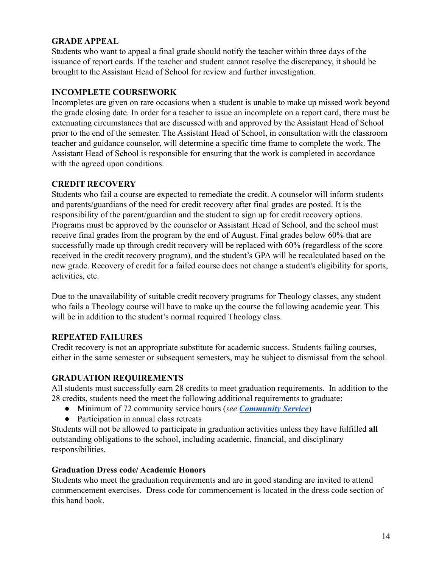## <span id="page-14-0"></span>**GRADE APPEAL**

Students who want to appeal a final grade should notify the teacher within three days of the issuance of report cards. If the teacher and student cannot resolve the discrepancy, it should be brought to the Assistant Head of School for review and further investigation.

## <span id="page-14-1"></span>**INCOMPLETE COURSEWORK**

Incompletes are given on rare occasions when a student is unable to make up missed work beyond the grade closing date. In order for a teacher to issue an incomplete on a report card, there must be extenuating circumstances that are discussed with and approved by the Assistant Head of School prior to the end of the semester. The Assistant Head of School, in consultation with the classroom teacher and guidance counselor, will determine a specific time frame to complete the work. The Assistant Head of School is responsible for ensuring that the work is completed in accordance with the agreed upon conditions.

## <span id="page-14-2"></span>**CREDIT RECOVERY**

Students who fail a course are expected to remediate the credit. A counselor will inform students and parents/guardians of the need for credit recovery after final grades are posted. It is the responsibility of the parent/guardian and the student to sign up for credit recovery options. Programs must be approved by the counselor or Assistant Head of School, and the school must receive final grades from the program by the end of August. Final grades below 60% that are successfully made up through credit recovery will be replaced with 60% (regardless of the score received in the credit recovery program), and the student's GPA will be recalculated based on the new grade. Recovery of credit for a failed course does not change a student's eligibility for sports, activities, etc.

Due to the unavailability of suitable credit recovery programs for Theology classes, any student who fails a Theology course will have to make up the course the following academic year. This will be in addition to the student's normal required Theology class.

## <span id="page-14-3"></span>**REPEATED FAILURES**

Credit recovery is not an appropriate substitute for academic success. Students failing courses, either in the same semester or subsequent semesters, may be subject to dismissal from the school.

#### <span id="page-14-4"></span>**GRADUATION REQUIREMENTS**

All students must successfully earn 28 credits to meet graduation requirements. In addition to the 28 credits, students need the meet the following additional requirements to graduate:

- Minimum of 72 community service hours (*see [Community](#page-29-2) Service*)
- Participation in annual class retreats

Students will not be allowed to participate in graduation activities unless they have fulfilled **all** outstanding obligations to the school, including academic, financial, and disciplinary responsibilities.

#### **Graduation Dress code/ Academic Honors**

Students who meet the graduation requirements and are in good standing are invited to attend commencement exercises. Dress code for commencement is located in the dress code section of this hand book.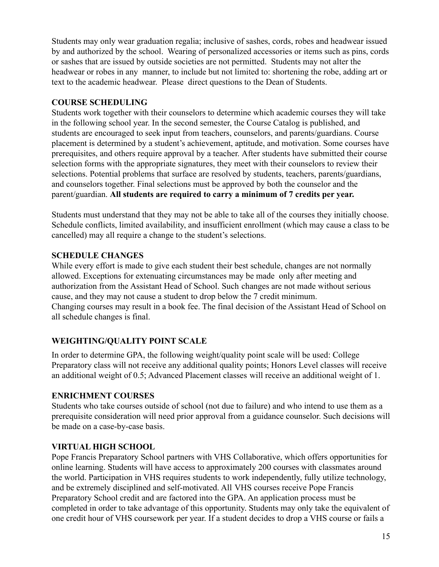Students may only wear graduation regalia; inclusive of sashes, cords, robes and headwear issued by and authorized by the school. Wearing of personalized accessories or items such as pins, cords or sashes that are issued by outside societies are not permitted. Students may not alter the headwear or robes in any manner, to include but not limited to: shortening the robe, adding art or text to the academic headwear. Please direct questions to the Dean of Students.

## <span id="page-15-0"></span>**COURSE SCHEDULING**

Students work together with their counselors to determine which academic courses they will take in the following school year. In the second semester, the Course Catalog is published, and students are encouraged to seek input from teachers, counselors, and parents/guardians. Course placement is determined by a student's achievement, aptitude, and motivation. Some courses have prerequisites, and others require approval by a teacher. After students have submitted their course selection forms with the appropriate signatures, they meet with their counselors to review their selections. Potential problems that surface are resolved by students, teachers, parents/guardians, and counselors together. Final selections must be approved by both the counselor and the parent/guardian. **All students are required to carry a minimum of 7 credits per year.**

Students must understand that they may not be able to take all of the courses they initially choose. Schedule conflicts, limited availability, and insufficient enrollment (which may cause a class to be cancelled) may all require a change to the student's selections.

## <span id="page-15-1"></span>**SCHEDULE CHANGES**

While every effort is made to give each student their best schedule, changes are not normally allowed. Exceptions for extenuating circumstances may be made only after meeting and authorization from the Assistant Head of School. Such changes are not made without serious cause, and they may not cause a student to drop below the 7 credit minimum. Changing courses may result in a book fee. The final decision of the Assistant Head of School on all schedule changes is final.

## **WEIGHTING/QUALITY POINT SCALE**

In order to determine GPA, the following weight/quality point scale will be used: College Preparatory class will not receive any additional quality points; Honors Level classes will receive an additional weight of 0.5; Advanced Placement classes will receive an additional weight of 1.

## <span id="page-15-2"></span>**ENRICHMENT COURSES**

Students who take courses outside of school (not due to failure) and who intend to use them as a prerequisite consideration will need prior approval from a guidance counselor. Such decisions will be made on a case-by-case basis.

#### <span id="page-15-3"></span>**VIRTUAL HIGH SCHOOL**

Pope Francis Preparatory School partners with VHS Collaborative, which offers opportunities for online learning. Students will have access to approximately 200 courses with classmates around the world. Participation in VHS requires students to work independently, fully utilize technology, and be extremely disciplined and self-motivated. All VHS courses receive Pope Francis Preparatory School credit and are factored into the GPA. An application process must be completed in order to take advantage of this opportunity. Students may only take the equivalent of one credit hour of VHS coursework per year. If a student decides to drop a VHS course or fails a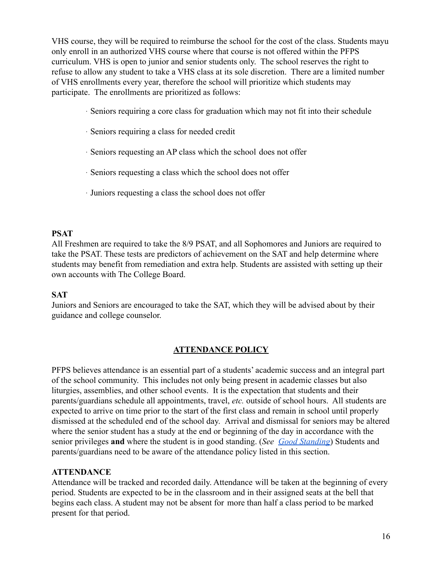VHS course, they will be required to reimburse the school for the cost of the class. Students mayu only enroll in an authorized VHS course where that course is not offered within the PFPS curriculum. VHS is open to junior and senior students only. The school reserves the right to refuse to allow any student to take a VHS class at its sole discretion. There are a limited number of VHS enrollments every year, therefore the school will prioritize which students may participate. The enrollments are prioritized as follows:

- · Seniors requiring a core class for graduation which may not fit into their schedule
- · Seniors requiring a class for needed credit
- · Seniors requesting an AP class which the school does not offer
- · Seniors requesting a class which the school does not offer
- · Juniors requesting a class the school does not offer

## <span id="page-16-0"></span>**PSAT**

All Freshmen are required to take the 8/9 PSAT, and all Sophomores and Juniors are required to take the PSAT. These tests are predictors of achievement on the SAT and help determine where students may benefit from remediation and extra help. Students are assisted with setting up their own accounts with The College Board.

#### <span id="page-16-1"></span>**SAT**

Juniors and Seniors are encouraged to take the SAT, which they will be advised about by their guidance and college counselor.

## **ATTENDANCE POLICY**

<span id="page-16-2"></span>PFPS believes attendance is an essential part of a students' academic success and an integral part of the school community. This includes not only being present in academic classes but also liturgies, assemblies, and other school events. It is the expectation that students and their parents/guardians schedule all appointments, travel, *etc.* outside of school hours. All students are expected to arrive on time prior to the start of the first class and remain in school until properly dismissed at the scheduled end of the school day. Arrival and dismissal for seniors may be altered where the senior student has a study at the end or beginning of the day in accordance with the senior privileges **and** where the student is in good standing. (*See [Good Standing](#page-19-1)*) Students and parents/guardians need to be aware of the attendance policy listed in this section.

#### <span id="page-16-3"></span>**ATTENDANCE**

Attendance will be tracked and recorded daily. Attendance will be taken at the beginning of every period. Students are expected to be in the classroom and in their assigned seats at the bell that begins each class. A student may not be absent for more than half a class period to be marked present for that period.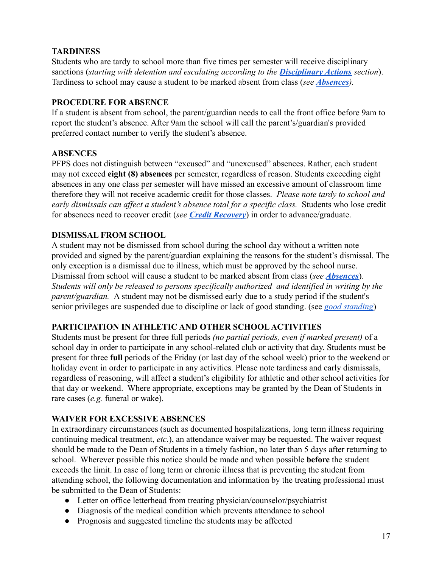## <span id="page-17-0"></span>**TARDINESS**

Students who are tardy to school more than five times per semester will receive disciplinary sanctions (*starting with detention and escalating according to the [Disciplinary Actions](#page-21-0) section*). Tardiness to school may cause a student to be marked absent from class (*see [Absences](#page-17-4)).*

## <span id="page-17-1"></span>**PROCEDURE FOR ABSENCE**

If a student is absent from school, the parent/guardian needs to call the front office before 9am to report the student's absence. After 9am the school will call the parent's/guardian's provided preferred contact number to verify the student's absence.

## <span id="page-17-4"></span>**ABSENCES**

PFPS does not distinguish between "excused" and "unexcused" absences. Rather, each student may not exceed **eight (8) absences** per semester, regardless of reason. Students exceeding eight absences in any one class per semester will have missed an excessive amount of classroom time therefore they will not receive academic credit for those classes. *Please note tardy to school and early dismissals can affect a student's absence total for a specific class.* Students who lose credit for absences need to recover credit (*see [Credit Recovery](#page-14-2)*) in order to advance/graduate.

## <span id="page-17-3"></span>**DISMISSAL FROM SCHOOL**

A student may not be dismissed from school during the school day without a written note provided and signed by the parent/guardian explaining the reasons for the student's dismissal. The only exception is a dismissal due to illness, which must be approved by the school nurse. Dismissal from school will cause a student to be marked absent from class (*see [Absences](#page-17-4)*)*. Students will only be released to persons specifically authorized and identified in writing by the parent/guardian.* A student may not be dismissed early due to a study period if the student's senior privileges are suspended due to discipline or lack of good standing. (see *[good standing](#page-19-1)*)

## <span id="page-17-2"></span>**PARTICIPATION IN ATHLETIC AND OTHER SCHOOL ACTIVITIES**

Students must be present for three full periods *(no partial periods, even if marked present)* of a school day in order to participate in any school-related club or activity that day. Students must be present for three **full** periods of the Friday (or last day of the school week) prior to the weekend or holiday event in order to participate in any activities. Please note tardiness and early dismissals, regardless of reasoning, will affect a student's eligibility for athletic and other school activities for that day or weekend. Where appropriate, exceptions may be granted by the Dean of Students in rare cases (*e.g.* funeral or wake).

#### <span id="page-17-5"></span>**WAIVER FOR EXCESSIVE ABSENCES**

In extraordinary circumstances (such as documented hospitalizations, long term illness requiring continuing medical treatment, *etc.*), an attendance waiver may be requested. The waiver request should be made to the Dean of Students in a timely fashion, no later than 5 days after returning to school. Wherever possible this notice should be made and when possible **before** the student exceeds the limit. In case of long term or chronic illness that is preventing the student from attending school, the following documentation and information by the treating professional must be submitted to the Dean of Students:

- Letter on office letterhead from treating physician/counselor/psychiatrist
- Diagnosis of the medical condition which prevents attendance to school
- Prognosis and suggested timeline the students may be affected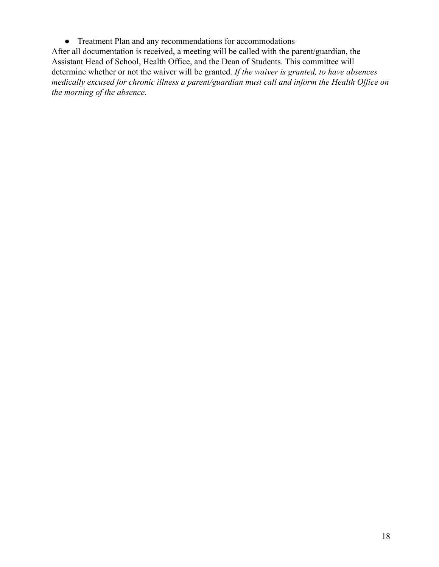● Treatment Plan and any recommendations for accommodations

After all documentation is received, a meeting will be called with the parent/guardian, the Assistant Head of School, Health Office, and the Dean of Students. This committee will determine whether or not the waiver will be granted. *If the waiver is granted, to have absences medically excused for chronic illness a parent/guardian must call and inform the Health Office on the morning of the absence.*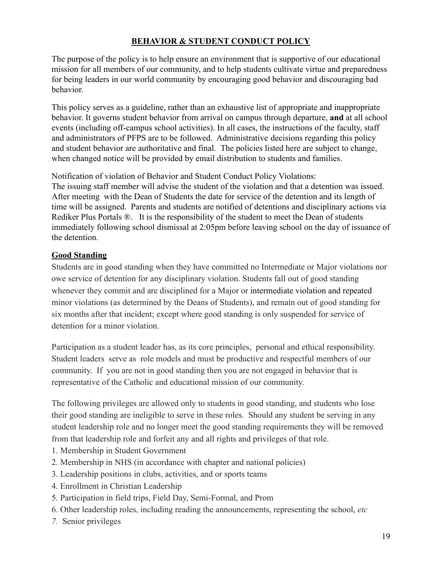## **BEHAVIOR & STUDENT CONDUCT POLICY**

<span id="page-19-0"></span>The purpose of the policy is to help ensure an environment that is supportive of our educational mission for all members of our community, and to help students cultivate virtue and preparedness for being leaders in our world community by encouraging good behavior and discouraging bad behavior.

This policy serves as a guideline, rather than an exhaustive list of appropriate and inappropriate behavior. It governs student behavior from arrival on campus through departure, **and** at all school events (including off-campus school activities). In all cases, the instructions of the faculty, staff and administrators of PFPS are to be followed. Administrative decisions regarding this policy and student behavior are authoritative and final. The policies listed here are subject to change, when changed notice will be provided by email distribution to students and families.

Notification of violation of Behavior and Student Conduct Policy Violations: The issuing staff member will advise the student of the violation and that a detention was issued. After meeting with the Dean of Students the date for service of the detention and its length of time will be assigned. Parents and students are notified of detentions and disciplinary actions via Rediker Plus Portals ®. It is the responsibility of the student to meet the Dean of students immediately following school dismissal at 2:05pm before leaving school on the day of issuance of the detention.

## <span id="page-19-1"></span>**[Good Standing](#page-19-1)**

Students are in good standing when they have committed no Intermediate or Major violations nor owe service of detention for any disciplinary violation. Students fall out of good standing whenever they commit and are disciplined for a Major or intermediate violation and repeated minor violations (as determined by the Deans of Students), and remain out of good standing for six months after that incident; except where good standing is only suspended for service of detention for a minor violation.

Participation as a student leader has, as its core principles, personal and ethical responsibility. Student leaders serve as role models and must be productive and respectful members of our community. If you are not in good standing then you are not engaged in behavior that is representative of the Catholic and educational mission of our community.

The following privileges are allowed only to students in good standing, and students who lose their good standing are ineligible to serve in these roles. Should any student be serving in any student leadership role and no longer meet the good standing requirements they will be removed from that leadership role and forfeit any and all rights and privileges of that role.

- 1. Membership in Student Government
- 2. Membership in NHS (in accordance with chapter and national policies)
- 3. Leadership positions in clubs, activities, and or sports teams
- 4. Enrollment in Christian Leadership
- 5. Participation in field trips, Field Day, Semi-Formal, and Prom
- 6. Other leadership roles, including reading the announcements, representing the school, *etc*
- *7.* Senior privileges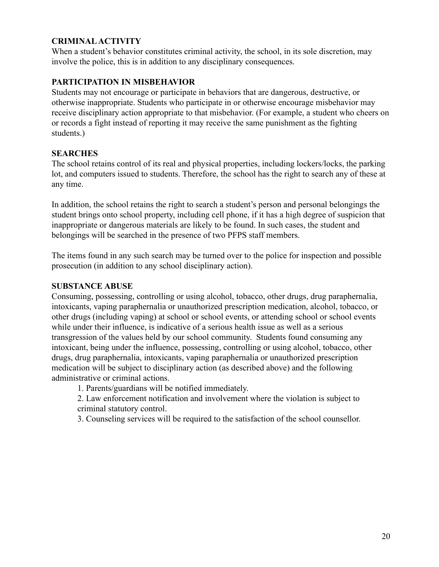## <span id="page-20-1"></span>**CRIMINALACTIVITY**

When a student's behavior constitutes criminal activity, the school, in its sole discretion, may involve the police, this is in addition to any disciplinary consequences.

## <span id="page-20-0"></span>**PARTICIPATION IN MISBEHAVIOR**

Students may not encourage or participate in behaviors that are dangerous, destructive, or otherwise inappropriate. Students who participate in or otherwise encourage misbehavior may receive disciplinary action appropriate to that misbehavior. (For example, a student who cheers on or records a fight instead of reporting it may receive the same punishment as the fighting students.)

## <span id="page-20-2"></span>**SEARCHES**

The school retains control of its real and physical properties, including lockers/locks, the parking lot, and computers issued to students. Therefore, the school has the right to search any of these at any time.

In addition, the school retains the right to search a student's person and personal belongings the student brings onto school property, including cell phone, if it has a high degree of suspicion that inappropriate or dangerous materials are likely to be found. In such cases, the student and belongings will be searched in the presence of two PFPS staff members.

The items found in any such search may be turned over to the police for inspection and possible prosecution (in addition to any school disciplinary action).

#### <span id="page-20-3"></span>**SUBSTANCE ABUSE**

Consuming, possessing, controlling or using alcohol, tobacco, other drugs, drug paraphernalia, intoxicants, vaping paraphernalia or unauthorized prescription medication, alcohol, tobacco, or other drugs (including vaping) at school or school events, or attending school or school events while under their influence, is indicative of a serious health issue as well as a serious transgression of the values held by our school community. Students found consuming any intoxicant, being under the influence, possessing, controlling or using alcohol, tobacco, other drugs, drug paraphernalia, intoxicants, vaping paraphernalia or unauthorized prescription medication will be subject to disciplinary action (as described above) and the following administrative or criminal actions.

1. Parents/guardians will be notified immediately.

2. Law enforcement notification and involvement where the violation is subject to criminal statutory control.

3. Counseling services will be required to the satisfaction of the school counsellor.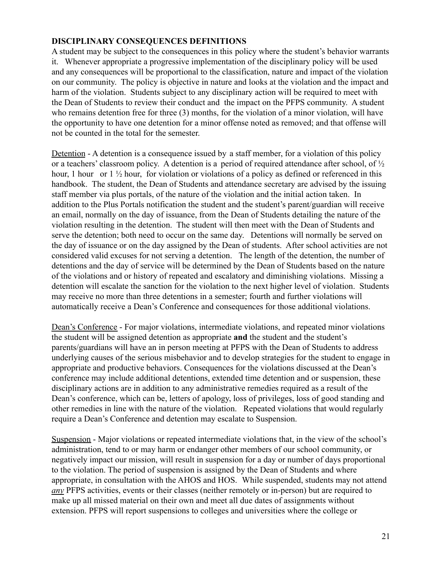#### <span id="page-21-0"></span>**DISCIPLINARY CONSEQUENCES DEFINITIONS**

A student may be subject to the consequences in this policy where the student's behavior warrants it. Whenever appropriate a progressive implementation of the disciplinary policy will be used and any consequences will be proportional to the classification, nature and impact of the violation on our community. The policy is objective in nature and looks at the violation and the impact and harm of the violation. Students subject to any disciplinary action will be required to meet with the Dean of Students to review their conduct and the impact on the PFPS community. A student who remains detention free for three (3) months, for the violation of a minor violation, will have the opportunity to have one detention for a minor offense noted as removed; and that offense will not be counted in the total for the semester.

Detention - A detention is a consequence issued by a staff member, for a violation of this policy or a teachers' classroom policy. A detention is a period of required attendance after school, of ½ hour, 1 hour or  $1\frac{1}{2}$  hour, for violation or violations of a policy as defined or referenced in this handbook. The student, the Dean of Students and attendance secretary are advised by the issuing staff member via plus portals, of the nature of the violation and the initial action taken. In addition to the Plus Portals notification the student and the student's parent/guardian will receive an email, normally on the day of issuance, from the Dean of Students detailing the nature of the violation resulting in the detention. The student will then meet with the Dean of Students and serve the detention; both need to occur on the same day. Detentions will normally be served on the day of issuance or on the day assigned by the Dean of students. After school activities are not considered valid excuses for not serving a detention. The length of the detention, the number of detentions and the day of service will be determined by the Dean of Students based on the nature of the violations and or history of repeated and escalatory and diminishing violations. Missing a detention will escalate the sanction for the violation to the next higher level of violation. Students may receive no more than three detentions in a semester; fourth and further violations will automatically receive a Dean's Conference and consequences for those additional violations.

Dean's Conference - For major violations, intermediate violations, and repeated minor violations the student will be assigned detention as appropriate **and** the student and the student's parents/guardians will have an in person meeting at PFPS with the Dean of Students to address underlying causes of the serious misbehavior and to develop strategies for the student to engage in appropriate and productive behaviors. Consequences for the violations discussed at the Dean's conference may include additional detentions, extended time detention and or suspension, these disciplinary actions are in addition to any administrative remedies required as a result of the Dean's conference, which can be, letters of apology, loss of privileges, loss of good standing and other remedies in line with the nature of the violation. Repeated violations that would regularly require a Dean's Conference and detention may escalate to Suspension.

Suspension - Major violations or repeated intermediate violations that, in the view of the school's administration, tend to or may harm or endanger other members of our school community, or negatively impact our mission, will result in suspension for a day or number of days proportional to the violation. The period of suspension is assigned by the Dean of Students and where appropriate, in consultation with the AHOS and HOS. While suspended, students may not attend *any* PFPS activities, events or their classes (neither remotely or in-person) but are required to make up all missed material on their own and meet all due dates of assignments without extension. PFPS will report suspensions to colleges and universities where the college or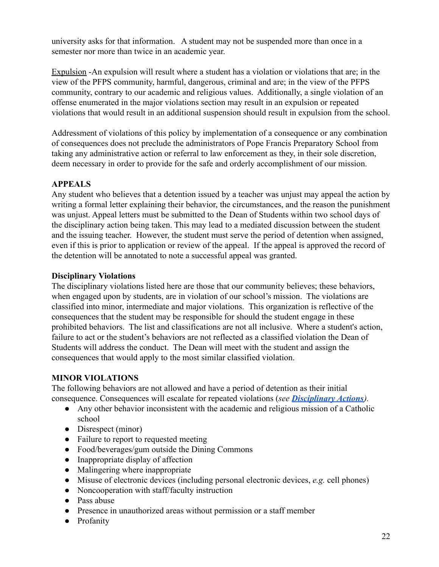university asks for that information. A student may not be suspended more than once in a semester nor more than twice in an academic year.

Expulsion -An expulsion will result where a student has a violation or violations that are; in the view of the PFPS community, harmful, dangerous, criminal and are; in the view of the PFPS community, contrary to our academic and religious values. Additionally, a single violation of an offense enumerated in the major violations section may result in an expulsion or repeated violations that would result in an additional suspension should result in expulsion from the school.

Addressment of violations of this policy by implementation of a consequence or any combination of consequences does not preclude the administrators of Pope Francis Preparatory School from taking any administrative action or referral to law enforcement as they, in their sole discretion, deem necessary in order to provide for the safe and orderly accomplishment of our mission.

## <span id="page-22-0"></span>**APPEALS**

Any student who believes that a detention issued by a teacher was unjust may appeal the action by writing a formal letter explaining their behavior, the circumstances, and the reason the punishment was unjust. Appeal letters must be submitted to the Dean of Students within two school days of the disciplinary action being taken. This may lead to a mediated discussion between the student and the issuing teacher. However, the student must serve the period of detention when assigned, even if this is prior to application or review of the appeal. If the appeal is approved the record of the detention will be annotated to note a successful appeal was granted.

#### **Disciplinary Violations**

The disciplinary violations listed here are those that our community believes; these behaviors, when engaged upon by students, are in violation of our school's mission. The violations are classified into minor, intermediate and major violations. This organization is reflective of the consequences that the student may be responsible for should the student engage in these prohibited behaviors. The list and classifications are not all inclusive. Where a student's action, failure to act or the student's behaviors are not reflected as a classified violation the Dean of Students will address the conduct. The Dean will meet with the student and assign the consequences that would apply to the most similar classified violation.

#### <span id="page-22-1"></span>**MINOR VIOLATIONS**

The following behaviors are not allowed and have a period of detention as their initial consequence. Consequences will escalate for repeated violations (*see [Disciplinary Actions](#page-21-0)).*

- Any other behavior inconsistent with the academic and religious mission of a Catholic school
- Disrespect (minor)
- Failure to report to requested meeting
- Food/beverages/gum outside the Dining Commons
- Inappropriate display of affection
- Malingering where inappropriate
- Misuse of electronic devices (including personal electronic devices, *e.g.* cell phones)
- Noncooperation with staff/faculty instruction
- Pass abuse
- Presence in unauthorized areas without permission or a staff member
- Profanity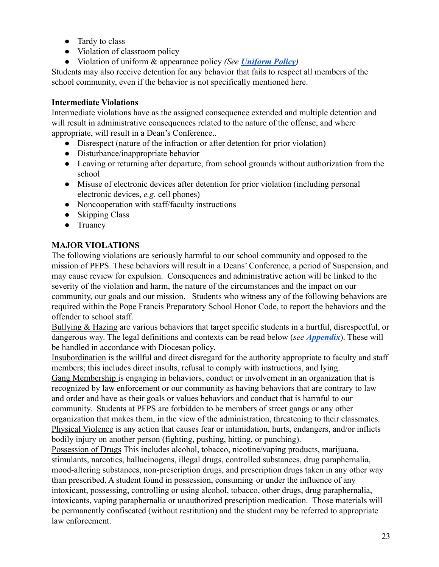- Tardy to class
- Violation of classroom policy
- Violation of uniform & appearance policy *(See [Uniform](#page-25-0) Policy)*

Students may also receive detention for any behavior that fails to respect all members of the school community, even if the behavior is not specifically mentioned here.

#### **Intermediate Violations**

Intermediate violations have as the assigned consequence extended and multiple detention and will result in administrative consequences related to the nature of the offense, and where appropriate, will result in a Dean's Conference..

- Disrespect (nature of the infraction or after detention for prior violation)
- Disturbance/inappropriate behavior
- Leaving or returning after departure, from school grounds without authorization from the school
- Misuse of electronic devices after detention for prior violation (including personal electronic devices, *e.g.* cell phones)
- Noncooperation with staff/faculty instructions
- Skipping Class
- Truancy

## <span id="page-23-0"></span>**MAJOR VIOLATIONS**

The following violations are seriously harmful to our school community and opposed to the mission of PFPS. These behaviors will result in a Deans' Conference, a period of Suspension, and may cause review for expulsion. Consequences and administrative action will be linked to the severity of the violation and harm, the nature of the circumstances and the impact on our community, our goals and our mission. Students who witness any of the following behaviors are required within the Pope Francis Preparatory School Honor Code, to report the behaviors and the offender to school staff.

Bullying & Hazing are various behaviors that target specific students in a hurtful, disrespectful, or dangerous way. The legal definitions and contexts can be read below (*see [Appendix](#page-40-0)*). These will be handled in accordance with Diocesan policy.

Insubordination is the willful and direct disregard for the authority appropriate to faculty and staff members; this includes direct insults, refusal to comply with instructions, and lying.

Gang Membership is engaging in behaviors, conduct or involvement in an organization that is recognized by law enforcement or our community as having behaviors that are contrary to law and order and have as their goals or values behaviors and conduct that is harmful to our community. Students at PFPS are forbidden to be members of street gangs or any other organization that makes them, in the view of the administration, threatening to their classmates. Physical Violence is any action that causes fear or intimidation, hurts, endangers, and/or inflicts bodily injury on another person (fighting, pushing, hitting, or punching).

Possession of Drugs This includes alcohol, tobacco, nicotine/vaping products, marijuana, stimulants, narcotics, hallucinogens, illegal drugs, controlled substances, drug paraphernalia, mood-altering substances, non-prescription drugs, and prescription drugs taken in any other way than prescribed. A student found in possession, consuming or under the influence of any intoxicant, possessing, controlling or using alcohol, tobacco, other drugs, drug paraphernalia, intoxicants, vaping paraphernalia or unauthorized prescription medication. Those materials will be permanently confiscated (without restitution) and the student may be referred to appropriate law enforcement.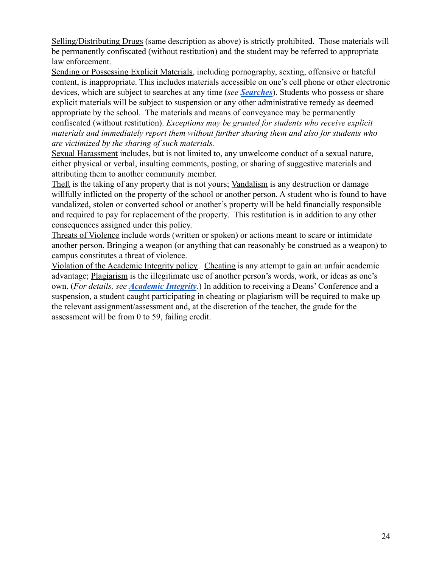Selling/Distributing Drugs (same description as above) is strictly prohibited. Those materials will be permanently confiscated (without restitution) and the student may be referred to appropriate law enforcement.

Sending or Possessing Explicit Materials, including pornography, sexting, offensive or hateful content, is inappropriate. This includes materials accessible on one's cell phone or other electronic devices, which are subject to searches at any time (*see [Searches](#page-23-0)*). Students who possess or share explicit materials will be subject to suspension or any other administrative remedy as deemed appropriate by the school. The materials and means of conveyance may be permanently confiscated (without restitution). *Exceptions may be granted for students who receive explicit materials and immediately report them without further sharing them and also for students who are victimized by the sharing of such materials.*

Sexual Harassment includes, but is not limited to, any unwelcome conduct of a sexual nature, either physical or verbal, insulting comments, posting, or sharing of suggestive materials and attributing them to another community member.

Theft is the taking of any property that is not yours; Vandalism is any destruction or damage willfully inflicted on the property of the school or another person. A student who is found to have vandalized, stolen or converted school or another's property will be held financially responsible and required to pay for replacement of the property. This restitution is in addition to any other consequences assigned under this policy.

Threats of Violence include words (written or spoken) or actions meant to scare or intimidate another person. Bringing a weapon (or anything that can reasonably be construed as a weapon) to campus constitutes a threat of violence.

Violation of the Academic Integrity policy. Cheating is any attempt to gain an unfair academic advantage; Plagiarism is the illegitimate use of another person's words, work, or ideas as one's own. (*For details, see Academic Integrity.*) In addition to receiving a Deans' Conference and a suspension, a student caught participating in cheating or plagiarism will be required to make up the relevant assignment/assessment and, at the discretion of the teacher, the grade for the assessment will be from 0 to 59, failing credit.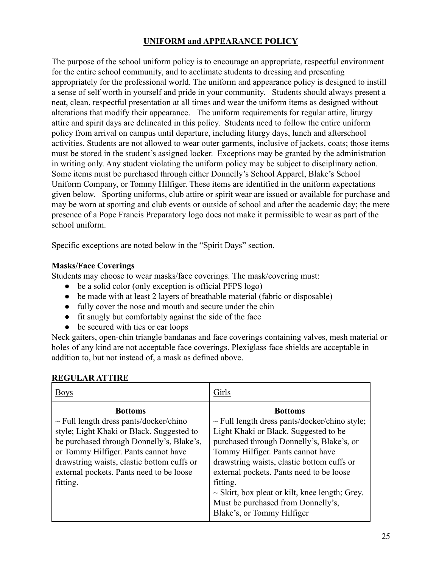## **UNIFORM and APPEARANCE POLICY**

<span id="page-25-0"></span>The purpose of the school uniform policy is to encourage an appropriate, respectful environment for the entire school community, and to acclimate students to dressing and presenting appropriately for the professional world. The uniform and appearance policy is designed to instill a sense of self worth in yourself and pride in your community. Students should always present a neat, clean, respectful presentation at all times and wear the uniform items as designed without alterations that modify their appearance. The uniform requirements for regular attire, liturgy attire and spirit days are delineated in this policy. Students need to follow the entire uniform policy from arrival on campus until departure, including liturgy days, lunch and afterschool activities. Students are not allowed to wear outer garments, inclusive of jackets, coats; those items must be stored in the student's assigned locker. Exceptions may be granted by the administration in writing only. Any student violating the uniform policy may be subject to disciplinary action. Some items must be purchased through either Donnelly's School Apparel, Blake's School Uniform Company, or Tommy Hilfiger. These items are identified in the uniform expectations given below. Sporting uniforms, club attire or spirit wear are issued or available for purchase and may be worn at sporting and club events or outside of school and after the academic day; the mere presence of a Pope Francis Preparatory logo does not make it permissible to wear as part of the school uniform.

Specific exceptions are noted below in the "Spirit Days" section.

## **Masks/Face Coverings**

Students may choose to wear masks/face coverings. The mask/covering must:

- be a solid color (only exception is official PFPS logo)
- be made with at least 2 layers of breathable material (fabric or disposable)
- fully cover the nose and mouth and secure under the chin
- fit snugly but comfortably against the side of the face
- be secured with ties or ear loops

Neck gaiters, open-chin triangle bandanas and face coverings containing valves, mesh material or holes of any kind are not acceptable face coverings. Plexiglass face shields are acceptable in addition to, but not instead of, a mask as defined above.

#### <span id="page-25-1"></span>**REGULAR ATTIRE**

| <b>Bottoms</b><br>$\sim$ Full length dress pants/docker/chino style;<br>Light Khaki or Black. Suggested to be<br>purchased through Donnelly's, Blake's, or<br>Tommy Hilfiger. Pants cannot have<br>drawstring waists, elastic bottom cuffs or<br>external pockets. Pants need to be loose<br>$\sim$ Skirt, box pleat or kilt, knee length; Grey.<br>Must be purchased from Donnelly's,<br>Blake's, or Tommy Hilfiger |
|----------------------------------------------------------------------------------------------------------------------------------------------------------------------------------------------------------------------------------------------------------------------------------------------------------------------------------------------------------------------------------------------------------------------|
|                                                                                                                                                                                                                                                                                                                                                                                                                      |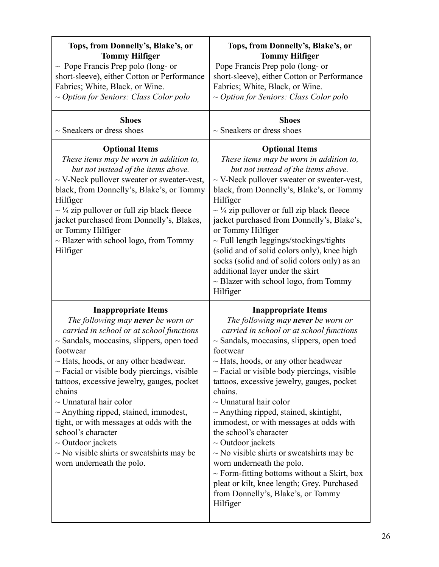| Tops, from Donnelly's, Blake's, or                                                                                                                                                                                                                                                                                                                                                                                                                                                                                                                                                                  | Tops, from Donnelly's, Blake's, or                                                                                                                                                                                                                                                                                                                                                                                                                                                                                                                                                                                                                                                                                                                           |
|-----------------------------------------------------------------------------------------------------------------------------------------------------------------------------------------------------------------------------------------------------------------------------------------------------------------------------------------------------------------------------------------------------------------------------------------------------------------------------------------------------------------------------------------------------------------------------------------------------|--------------------------------------------------------------------------------------------------------------------------------------------------------------------------------------------------------------------------------------------------------------------------------------------------------------------------------------------------------------------------------------------------------------------------------------------------------------------------------------------------------------------------------------------------------------------------------------------------------------------------------------------------------------------------------------------------------------------------------------------------------------|
| <b>Tommy Hilfiger</b>                                                                                                                                                                                                                                                                                                                                                                                                                                                                                                                                                                               | <b>Tommy Hilfiger</b>                                                                                                                                                                                                                                                                                                                                                                                                                                                                                                                                                                                                                                                                                                                                        |
| $\sim$ Pope Francis Prep polo (long- or                                                                                                                                                                                                                                                                                                                                                                                                                                                                                                                                                             | Pope Francis Prep polo (long- or                                                                                                                                                                                                                                                                                                                                                                                                                                                                                                                                                                                                                                                                                                                             |
| short-sleeve), either Cotton or Performance                                                                                                                                                                                                                                                                                                                                                                                                                                                                                                                                                         | short-sleeve), either Cotton or Performance                                                                                                                                                                                                                                                                                                                                                                                                                                                                                                                                                                                                                                                                                                                  |
| Fabrics; White, Black, or Wine.                                                                                                                                                                                                                                                                                                                                                                                                                                                                                                                                                                     | Fabrics; White, Black, or Wine.                                                                                                                                                                                                                                                                                                                                                                                                                                                                                                                                                                                                                                                                                                                              |
| $\sim$ Option for Seniors: Class Color polo                                                                                                                                                                                                                                                                                                                                                                                                                                                                                                                                                         | $\sim$ Option for Seniors: Class Color polo                                                                                                                                                                                                                                                                                                                                                                                                                                                                                                                                                                                                                                                                                                                  |
| <b>Shoes</b>                                                                                                                                                                                                                                                                                                                                                                                                                                                                                                                                                                                        | <b>Shoes</b>                                                                                                                                                                                                                                                                                                                                                                                                                                                                                                                                                                                                                                                                                                                                                 |
| $\sim$ Sneakers or dress shoes                                                                                                                                                                                                                                                                                                                                                                                                                                                                                                                                                                      | $\sim$ Sneakers or dress shoes                                                                                                                                                                                                                                                                                                                                                                                                                                                                                                                                                                                                                                                                                                                               |
| <b>Optional Items</b><br>These items may be worn in addition to,<br>but not instead of the items above.<br>$\sim$ V-Neck pullover sweater or sweater-vest,<br>black, from Donnelly's, Blake's, or Tommy<br>Hilfiger<br>$\sim \frac{1}{4}$ zip pullover or full zip black fleece<br>jacket purchased from Donnelly's, Blakes,<br>or Tommy Hilfiger<br>$\sim$ Blazer with school logo, from Tommy<br>Hilfiger                                                                                                                                                                                         | <b>Optional Items</b><br>These items may be worn in addition to,<br>but not instead of the items above.<br>$\sim$ V-Neck pullover sweater or sweater-vest,<br>black, from Donnelly's, Blake's, or Tommy<br>Hilfiger<br>$\sim$ ¼ zip pullover or full zip black fleece<br>jacket purchased from Donnelly's, Blake's,<br>or Tommy Hilfiger<br>$\sim$ Full length leggings/stockings/tights<br>(solid and of solid colors only), knee high<br>socks (solid and of solid colors only) as an<br>additional layer under the skirt<br>$\sim$ Blazer with school logo, from Tommy<br>Hilfiger                                                                                                                                                                        |
| <b>Inappropriate Items</b><br>The following may <b>never</b> be worn or<br>carried in school or at school functions<br>$\sim$ Sandals, moccasins, slippers, open toed<br>footwear<br>$\sim$ Hats, hoods, or any other headwear.<br>$\sim$ Facial or visible body piercings, visible<br>tattoos, excessive jewelry, gauges, pocket<br>chains<br>$\sim$ Unnatural hair color<br>$\sim$ Anything ripped, stained, immodest,<br>tight, or with messages at odds with the<br>school's character<br>$\sim$ Outdoor jackets<br>$\sim$ No visible shirts or sweatshirts may be<br>worn underneath the polo. | <b>Inappropriate Items</b><br>The following may <b>never</b> be worn or<br>carried in school or at school functions<br>$\sim$ Sandals, moccasins, slippers, open toed<br>footwear<br>$\sim$ Hats, hoods, or any other headwear<br>$\sim$ Facial or visible body piercings, visible<br>tattoos, excessive jewelry, gauges, pocket<br>chains.<br>$\sim$ Unnatural hair color<br>$\sim$ Anything ripped, stained, skintight,<br>immodest, or with messages at odds with<br>the school's character<br>$\sim$ Outdoor jackets<br>$\sim$ No visible shirts or sweatshirts may be<br>worn underneath the polo.<br>$\sim$ Form-fitting bottoms without a Skirt, box<br>pleat or kilt, knee length; Grey. Purchased<br>from Donnelly's, Blake's, or Tommy<br>Hilfiger |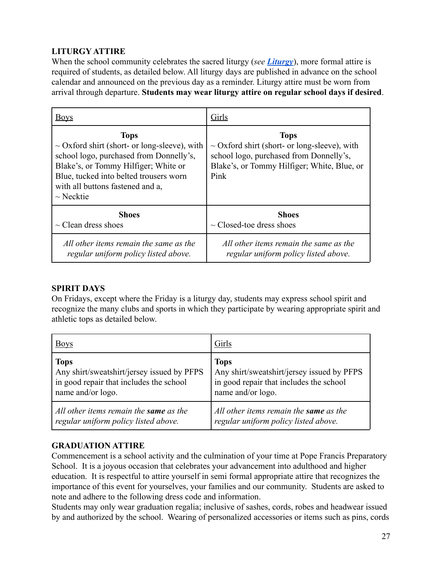## **LITURGY ATTIRE**

When the school community celebrates the sacred liturgy (*see [Liturgy](#page-29-0)*), more formal attire is required of students, as detailed below. All liturgy days are published in advance on the school calendar and announced on the previous day as a reminder. Liturgy attire must be worn from arrival through departure. **Students may wear liturgy attire on regular school days if desired**.

| <b>Boys</b>                                                                                                                                                                                                                                         | Girls                                                                                                                                                              |
|-----------------------------------------------------------------------------------------------------------------------------------------------------------------------------------------------------------------------------------------------------|--------------------------------------------------------------------------------------------------------------------------------------------------------------------|
| <b>Tops</b><br>$\sim$ Oxford shirt (short- or long-sleeve), with<br>school logo, purchased from Donnelly's,<br>Blake's, or Tommy Hilfiger; White or<br>Blue, tucked into belted trousers worn<br>with all buttons fastened and a.<br>$\sim$ Necktie | <b>Tops</b><br>$\sim$ Oxford shirt (short- or long-sleeve), with<br>school logo, purchased from Donnelly's,<br>Blake's, or Tommy Hilfiger; White, Blue, or<br>Pink |
| <b>Shoes</b>                                                                                                                                                                                                                                        | <b>Shoes</b>                                                                                                                                                       |
| $\sim$ Clean dress shoes                                                                                                                                                                                                                            | $\sim$ Closed-toe dress shoes                                                                                                                                      |
| All other items remain the same as the                                                                                                                                                                                                              | All other items remain the same as the                                                                                                                             |
| regular uniform policy listed above.                                                                                                                                                                                                                | regular uniform policy listed above.                                                                                                                               |

## <span id="page-27-0"></span>**SPIRIT DAYS**

On Fridays, except where the Friday is a liturgy day, students may express school spirit and recognize the many clubs and sports in which they participate by wearing appropriate spirit and athletic tops as detailed below.

| <b>Boys</b>                                   | Girls                                      |
|-----------------------------------------------|--------------------------------------------|
| <b>Tops</b>                                   | <b>Tops</b>                                |
| Any shirt/sweatshirt/jersey issued by PFPS    | Any shirt/sweatshirt/jersey issued by PFPS |
| in good repair that includes the school       | in good repair that includes the school    |
| name and/or logo.                             | name and/or logo.                          |
| All other items remain the <b>same</b> as the | All other items remain the same as the     |
| regular uniform policy listed above.          | regular uniform policy listed above.       |

## <span id="page-27-1"></span>**GRADUATION ATTIRE**

Commencement is a school activity and the culmination of your time at Pope Francis Preparatory School. It is a joyous occasion that celebrates your advancement into adulthood and higher education. It is respectful to attire yourself in semi formal appropriate attire that recognizes the importance of this event for yourselves, your families and our community. Students are asked to note and adhere to the following dress code and information.

Students may only wear graduation regalia; inclusive of sashes, cords, robes and headwear issued by and authorized by the school. Wearing of personalized accessories or items such as pins, cords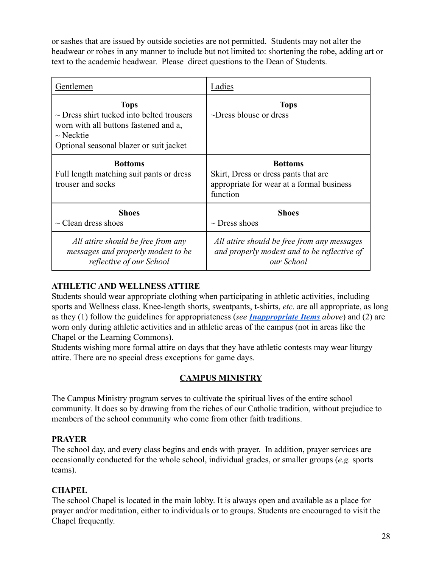or sashes that are issued by outside societies are not permitted. Students may not alter the headwear or robes in any manner to include but not limited to: shortening the robe, adding art or text to the academic headwear. Please direct questions to the Dean of Students.

| Gentlemen                                                                                                                                                           | Ladies                                                                                                          |
|---------------------------------------------------------------------------------------------------------------------------------------------------------------------|-----------------------------------------------------------------------------------------------------------------|
| <b>Tops</b><br>$\sim$ Dress shirt tucked into belted trousers<br>worn with all buttons fastened and a,<br>$\sim$ Necktie<br>Optional seasonal blazer or suit jacket | <b>Tops</b><br>$\sim$ Dress blouse or dress                                                                     |
| <b>Bottoms</b><br>Full length matching suit pants or dress<br>trouser and socks                                                                                     | <b>Bottoms</b><br>Skirt, Dress or dress pants that are<br>appropriate for wear at a formal business<br>function |
| <b>Shoes</b><br>$\sim$ Clean dress shoes                                                                                                                            | <b>Shoes</b><br>$\sim$ Dress shoes                                                                              |
| All attire should be free from any<br>messages and properly modest to be<br>reflective of our School                                                                | All attire should be free from any messages<br>and properly modest and to be reflective of<br>our School        |

## **ATHLETIC AND WELLNESS ATTIRE**

Students should wear appropriate clothing when participating in athletic activities, including sports and Wellness class. Knee-length shorts, sweatpants, t-shirts, *etc.* are all appropriate, as long as they (1) follow the guidelines for appropriateness (*see [Inappropriate Items](https://docs.google.com/document/d/1umiTQ8Uwv55SAoICpiRVkufVLDx-CB5UeogqWykeSl4/edit#bookmark=kix.9xkqf0eazfih) above*) and (2) are worn only during athletic activities and in athletic areas of the campus (not in areas like the Chapel or the Learning Commons).

Students wishing more formal attire on days that they have athletic contests may wear liturgy attire. There are no special dress exceptions for game days.

## **CAMPUS MINISTRY**

<span id="page-28-0"></span>The Campus Ministry program serves to cultivate the spiritual lives of the entire school community. It does so by drawing from the riches of our Catholic tradition, without prejudice to members of the school community who come from other faith traditions.

## <span id="page-28-1"></span>**PRAYER**

The school day, and every class begins and ends with prayer. In addition, prayer services are occasionally conducted for the whole school, individual grades, or smaller groups (*e.g.* sports teams).

## <span id="page-28-2"></span>**CHAPEL**

The school Chapel is located in the main lobby. It is always open and available as a place for prayer and/or meditation, either to individuals or to groups. Students are encouraged to visit the Chapel frequently.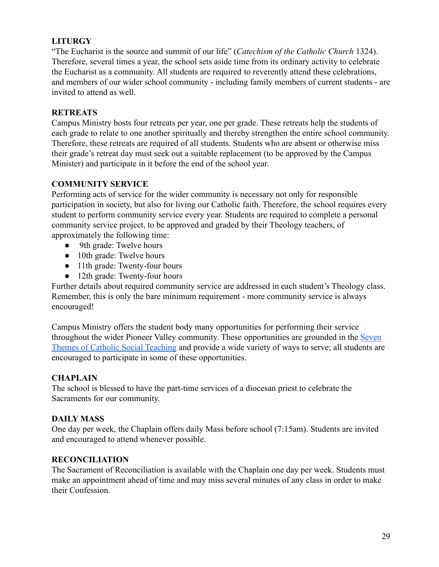## <span id="page-29-0"></span>**LITURGY**

"The Eucharist is the source and summit of our life" (*Catechism of the Catholic Church* 1324). Therefore, several times a year, the school sets aside time from its ordinary activity to celebrate the Eucharist as a community. All students are required to reverently attend these celebrations, and members of our wider school community - including family members of current students - are invited to attend as well.

#### <span id="page-29-1"></span>**RETREATS**

Campus Ministry hosts four retreats per year, one per grade. These retreats help the students of each grade to relate to one another spiritually and thereby strengthen the entire school community. Therefore, these retreats are required of all students. Students who are absent or otherwise miss their grade's retreat day must seek out a suitable replacement (to be approved by the Campus Minister) and participate in it before the end of the school year.

#### <span id="page-29-2"></span>**COMMUNITY SERVICE**

Performing acts of service for the wider community is necessary not only for responsible participation in society, but also for living our Catholic faith. Therefore, the school requires every student to perform community service every year. Students are required to complete a personal community service project, to be approved and graded by their Theology teachers, of approximately the following time:

- 9th grade: Twelve hours
- 10th grade: Twelve hours
- 11th grade: Twenty-four hours
- 12th grade: Twenty-four hours

Further details about required community service are addressed in each student's Theology class. Remember, this is only the bare minimum requirement - more community service is always encouraged!

Campus Ministry offers the student body many opportunities for performing their service throughout the wider Pioneer Valley community. These opportunities are grounded in the [Seven](http://www.usccb.org/beliefs-and-teachings/what-we-believe/catholic-social-teaching/seven-themes-of-catholic-social-teaching.cfm) [Themes of Catholic Social Teaching](http://www.usccb.org/beliefs-and-teachings/what-we-believe/catholic-social-teaching/seven-themes-of-catholic-social-teaching.cfm) and provide a wide variety of ways to serve; all students are encouraged to participate in some of these opportunities.

#### <span id="page-29-3"></span>**CHAPLAIN**

The school is blessed to have the part-time services of a diocesan priest to celebrate the Sacraments for our community.

#### <span id="page-29-4"></span>**DAILY MASS**

One day per week, the Chaplain offers daily Mass before school (7:15am). Students are invited and encouraged to attend whenever possible.

#### <span id="page-29-5"></span>**RECONCILIATION**

The Sacrament of Reconciliation is available with the Chaplain one day per week. Students must make an appointment ahead of time and may miss several minutes of any class in order to make their Confession.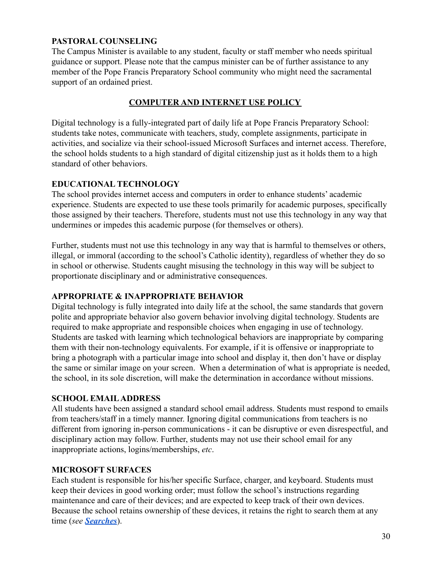## <span id="page-30-0"></span>**PASTORAL COUNSELING**

The Campus Minister is available to any student, faculty or staff member who needs spiritual guidance or support. Please note that the campus minister can be of further assistance to any member of the Pope Francis Preparatory School community who might need the sacramental support of an ordained priest.

## **COMPUTER AND INTERNET USE POLICY**

<span id="page-30-1"></span>Digital technology is a fully-integrated part of daily life at Pope Francis Preparatory School: students take notes, communicate with teachers, study, complete assignments, participate in activities, and socialize via their school-issued Microsoft Surfaces and internet access. Therefore, the school holds students to a high standard of digital citizenship just as it holds them to a high standard of other behaviors.

#### <span id="page-30-2"></span>**EDUCATIONAL TECHNOLOGY**

The school provides internet access and computers in order to enhance students' academic experience. Students are expected to use these tools primarily for academic purposes, specifically those assigned by their teachers. Therefore, students must not use this technology in any way that undermines or impedes this academic purpose (for themselves or others).

Further, students must not use this technology in any way that is harmful to themselves or others, illegal, or immoral (according to the school's Catholic identity), regardless of whether they do so in school or otherwise. Students caught misusing the technology in this way will be subject to proportionate disciplinary and or administrative consequences.

#### <span id="page-30-3"></span>**APPROPRIATE & INAPPROPRIATE BEHAVIOR**

Digital technology is fully integrated into daily life at the school, the same standards that govern polite and appropriate behavior also govern behavior involving digital technology. Students are required to make appropriate and responsible choices when engaging in use of technology. Students are tasked with learning which technological behaviors are inappropriate by comparing them with their non-technology equivalents. For example, if it is offensive or inappropriate to bring a photograph with a particular image into school and display it, then don't have or display the same or similar image on your screen. When a determination of what is appropriate is needed, the school, in its sole discretion, will make the determination in accordance without missions.

#### <span id="page-30-4"></span>**SCHOOL EMAILADDRESS**

All students have been assigned a standard school email address. Students must respond to emails from teachers/staff in a timely manner. Ignoring digital communications from teachers is no different from ignoring in-person communications - it can be disruptive or even disrespectful, and disciplinary action may follow. Further, students may not use their school email for any inappropriate actions, logins/memberships, *etc*.

## <span id="page-30-5"></span>**MICROSOFT SURFACES**

Each student is responsible for his/her specific Surface, charger, and keyboard. Students must keep their devices in good working order; must follow the school's instructions regarding maintenance and care of their devices; and are expected to keep track of their own devices. Because the school retains ownership of these devices, it retains the right to search them at any time (*see Searches*).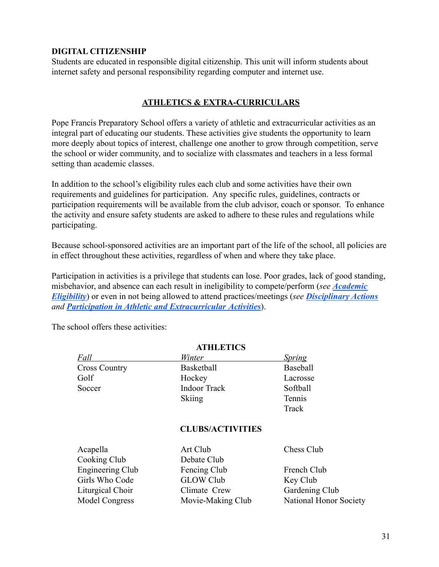## <span id="page-31-0"></span>**DIGITAL CITIZENSHIP**

Students are educated in responsible digital citizenship. This unit will inform students about internet safety and personal responsibility regarding computer and internet use.

## **ATHLETICS & EXTRA-CURRICULARS**

<span id="page-31-1"></span>Pope Francis Preparatory School offers a variety of athletic and extracurricular activities as an integral part of educating our students. These activities give students the opportunity to learn more deeply about topics of interest, challenge one another to grow through competition, serve the school or wider community, and to socialize with classmates and teachers in a less formal setting than academic classes.

In addition to the school's eligibility rules each club and some activities have their own requirements and guidelines for participation. Any specific rules, guidelines, contracts or participation requirements will be available from the club advisor, coach or sponsor. To enhance the activity and ensure safety students are asked to adhere to these rules and regulations while participating.

Because school-sponsored activities are an important part of the life of the school, all policies are in effect throughout these activities, regardless of when and where they take place.

Participation in activities is a privilege that students can lose. Poor grades, lack of good standing, misbehavior, and absence can each result in ineligibility to compete/perform (*see [Academic](#page-33-0) [Eligibility](#page-33-0)*) or even in not being allowed to attend practices/meetings (*see [Disciplinary Actions](#page-21-0) and Participation in Athletic and Extracurricular Activities*).

**ATHLETICS**

<span id="page-31-3"></span>

|                         | липлянс                 |                        |
|-------------------------|-------------------------|------------------------|
| Fall                    | Winter                  | <b>Spring</b>          |
| <b>Cross Country</b>    | Basketball              | Baseball               |
| Golf                    | Hockey                  | Lacrosse               |
| Soccer                  | <b>Indoor Track</b>     | Softball               |
|                         | <b>Skiing</b>           | Tennis                 |
|                         |                         | Track                  |
|                         | <b>CLUBS/ACTIVITIES</b> |                        |
| Acapella                | Art Club                | Chess Club             |
| Cooking Club            | Debate Club             |                        |
| <b>Engineering Club</b> | Fencing Club            | French Club            |
| Girls Who Code          | <b>GLOW Club</b>        | Key Club               |
| Liturgical Choir        | Climate Crew            | Gardening Club         |
| <b>Model Congress</b>   | Movie-Making Club       | National Honor Society |

<span id="page-31-2"></span>The school offers these activities: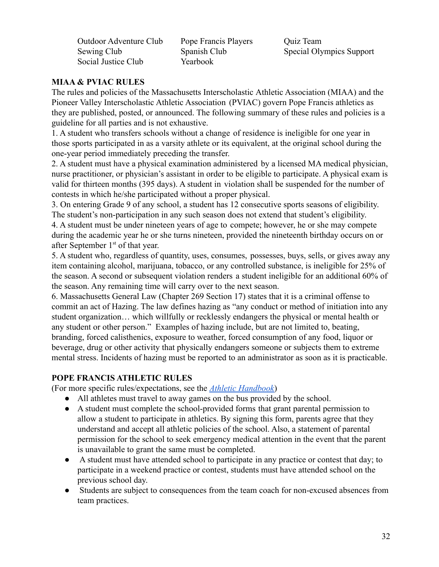Outdoor Adventure Club Pope Francis Players Ouiz Team Social Justice Club Yearbook

Sewing Club Spanish Club Special Olympics Support

## <span id="page-32-0"></span>**MIAA & PVIAC RULES**

The rules and policies of the Massachusetts Interscholastic Athletic Association (MIAA) and the Pioneer Valley Interscholastic Athletic Association (PVIAC) govern Pope Francis athletics as they are published, posted, or announced. The following summary of these rules and policies is a guideline for all parties and is not exhaustive.

1. A student who transfers schools without a change of residence is ineligible for one year in those sports participated in as a varsity athlete or its equivalent, at the original school during the one-year period immediately preceding the transfer.

2. A student must have a physical examination administered by a licensed MA medical physician, nurse practitioner, or physician's assistant in order to be eligible to participate. A physical exam is valid for thirteen months (395 days). A student in violation shall be suspended for the number of contests in which he/she participated without a proper physical.

3. On entering Grade 9 of any school, a student has 12 consecutive sports seasons of eligibility. The student's non-participation in any such season does not extend that student's eligibility.

4. A student must be under nineteen years of age to compete; however, he or she may compete during the academic year he or she turns nineteen, provided the nineteenth birthday occurs on or after September  $1<sup>st</sup>$  of that year.

5. A student who, regardless of quantity, uses, consumes, possesses, buys, sells, or gives away any item containing alcohol, marijuana, tobacco, or any controlled substance, is ineligible for 25% of the season. A second or subsequent violation renders a student ineligible for an additional 60% of the season. Any remaining time will carry over to the next season.

6. Massachusetts General Law (Chapter 269 Section 17) states that it is a criminal offense to commit an act of Hazing. The law defines hazing as "any conduct or method of initiation into any student organization… which willfully or recklessly endangers the physical or mental health or any student or other person." Examples of hazing include, but are not limited to, beating, branding, forced calisthenics, exposure to weather, forced consumption of any food, liquor or beverage, drug or other activity that physically endangers someone or subjects them to extreme mental stress. Incidents of hazing must be reported to an administrator as soon as it is practicable.

#### <span id="page-32-1"></span>**POPE FRANCIS ATHLETIC RULES**

(For more specific rules/expectations, see the *Athletic [Handbook](http://popefrancisprep.org/athletics)*)

- All athletes must travel to away games on the bus provided by the school.
- A student must complete the school-provided forms that grant parental permission to allow a student to participate in athletics. By signing this form, parents agree that they understand and accept all athletic policies of the school. Also, a statement of parental permission for the school to seek emergency medical attention in the event that the parent is unavailable to grant the same must be completed.
- A student must have attended school to participate in any practice or contest that day; to participate in a weekend practice or contest, students must have attended school on the previous school day.
- Students are subject to consequences from the team coach for non-excused absences from team practices.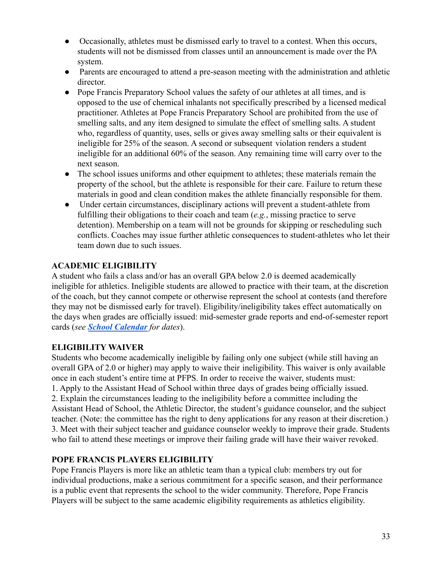- Occasionally, athletes must be dismissed early to travel to a contest. When this occurs, students will not be dismissed from classes until an announcement is made over the PA system.
- Parents are encouraged to attend a pre-season meeting with the administration and athletic director.
- Pope Francis Preparatory School values the safety of our athletes at all times, and is opposed to the use of chemical inhalants not specifically prescribed by a licensed medical practitioner. Athletes at Pope Francis Preparatory School are prohibited from the use of smelling salts, and any item designed to simulate the effect of smelling salts. A student who, regardless of quantity, uses, sells or gives away smelling salts or their equivalent is ineligible for 25% of the season. A second or subsequent violation renders a student ineligible for an additional 60% of the season. Any remaining time will carry over to the next season.
- The school issues uniforms and other equipment to athletes; these materials remain the property of the school, but the athlete is responsible for their care. Failure to return these materials in good and clean condition makes the athlete financially responsible for them.
- Under certain circumstances, disciplinary actions will prevent a student-athlete from fulfilling their obligations to their coach and team (*e.g.*, missing practice to serve detention). Membership on a team will not be grounds for skipping or rescheduling such conflicts. Coaches may issue further athletic consequences to student-athletes who let their team down due to such issues.

## <span id="page-33-0"></span>**ACADEMIC ELIGIBILITY**

A student who fails a class and/or has an overall GPA below 2.0 is deemed academically ineligible for athletics. Ineligible students are allowed to practice with their team, at the discretion of the coach, but they cannot compete or otherwise represent the school at contests (and therefore they may not be dismissed early for travel). Eligibility/ineligibility takes effect automatically on the days when grades are officially issued: mid-semester grade reports and end-of-semester report cards (*see [School Calendar](#page-8-0) for dates*).

## <span id="page-33-1"></span>**ELIGIBILITY WAIVER**

Students who become academically ineligible by failing only one subject (while still having an overall GPA of 2.0 or higher) may apply to waive their ineligibility. This waiver is only available once in each student's entire time at PFPS. In order to receive the waiver, students must: 1. Apply to the Assistant Head of School within three days of grades being officially issued. 2. Explain the circumstances leading to the ineligibility before a committee including the Assistant Head of School, the Athletic Director, the student's guidance counselor, and the subject teacher. (Note: the committee has the right to deny applications for any reason at their discretion.) 3. Meet with their subject teacher and guidance counselor weekly to improve their grade. Students who fail to attend these meetings or improve their failing grade will have their waiver revoked.

## <span id="page-33-2"></span>**POPE FRANCIS PLAYERS ELIGIBILITY**

Pope Francis Players is more like an athletic team than a typical club: members try out for individual productions, make a serious commitment for a specific season, and their performance is a public event that represents the school to the wider community. Therefore, Pope Francis Players will be subject to the same academic eligibility requirements as athletics eligibility.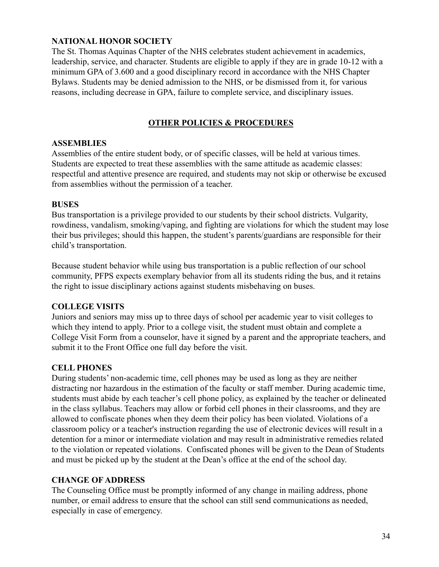## <span id="page-34-0"></span>**NATIONAL HONOR SOCIETY**

The St. Thomas Aquinas Chapter of the NHS celebrates student achievement in academics, leadership, service, and character. Students are eligible to apply if they are in grade 10-12 with a minimum GPA of 3.600 and a good disciplinary record in accordance with the NHS Chapter Bylaws. Students may be denied admission to the NHS, or be dismissed from it, for various reasons, including decrease in GPA, failure to complete service, and disciplinary issues.

## **OTHER POLICIES & PROCEDURES**

#### <span id="page-34-2"></span><span id="page-34-1"></span>**ASSEMBLIES**

Assemblies of the entire student body, or of specific classes, will be held at various times. Students are expected to treat these assemblies with the same attitude as academic classes: respectful and attentive presence are required, and students may not skip or otherwise be excused from assemblies without the permission of a teacher.

#### <span id="page-34-3"></span>**BUSES**

Bus transportation is a privilege provided to our students by their school districts. Vulgarity, rowdiness, vandalism, smoking/vaping, and fighting are violations for which the student may lose their bus privileges; should this happen, the student's parents/guardians are responsible for their child's transportation.

Because student behavior while using bus transportation is a public reflection of our school community, PFPS expects exemplary behavior from all its students riding the bus, and it retains the right to issue disciplinary actions against students misbehaving on buses.

#### <span id="page-34-4"></span>**COLLEGE VISITS**

Juniors and seniors may miss up to three days of school per academic year to visit colleges to which they intend to apply. Prior to a college visit, the student must obtain and complete a College Visit Form from a counselor, have it signed by a parent and the appropriate teachers, and submit it to the Front Office one full day before the visit.

#### <span id="page-34-5"></span>**CELL PHONES**

During students' non-academic time, cell phones may be used as long as they are neither distracting nor hazardous in the estimation of the faculty or staff member. During academic time, students must abide by each teacher's cell phone policy, as explained by the teacher or delineated in the class syllabus. Teachers may allow or forbid cell phones in their classrooms, and they are allowed to confiscate phones when they deem their policy has been violated. Violations of a classroom policy or a teacher's instruction regarding the use of electronic devices will result in a detention for a minor or intermediate violation and may result in administrative remedies related to the violation or repeated violations. Confiscated phones will be given to the Dean of Students and must be picked up by the student at the Dean's office at the end of the school day.

#### <span id="page-34-6"></span>**CHANGE OF ADDRESS**

The Counseling Office must be promptly informed of any change in mailing address, phone number, or email address to ensure that the school can still send communications as needed, especially in case of emergency.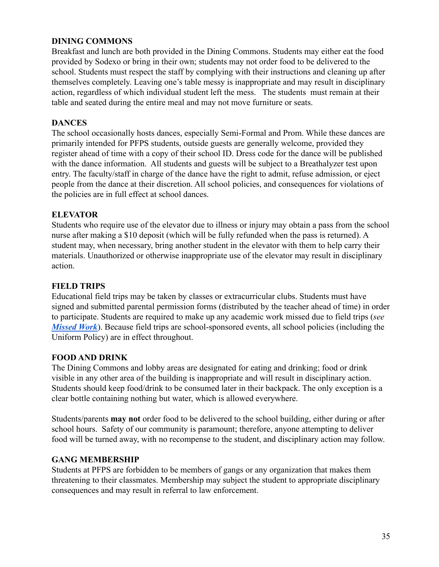## <span id="page-35-0"></span>**DINING COMMONS**

Breakfast and lunch are both provided in the Dining Commons. Students may either eat the food provided by Sodexo or bring in their own; students may not order food to be delivered to the school. Students must respect the staff by complying with their instructions and cleaning up after themselves completely. Leaving one's table messy is inappropriate and may result in disciplinary action, regardless of which individual student left the mess. The students must remain at their table and seated during the entire meal and may not move furniture or seats.

#### <span id="page-35-1"></span>**DANCES**

The school occasionally hosts dances, especially Semi-Formal and Prom. While these dances are primarily intended for PFPS students, outside guests are generally welcome, provided they register ahead of time with a copy of their school ID. Dress code for the dance will be published with the dance information. All students and guests will be subject to a Breathalyzer test upon entry. The faculty/staff in charge of the dance have the right to admit, refuse admission, or eject people from the dance at their discretion. All school policies, and consequences for violations of the policies are in full effect at school dances.

#### <span id="page-35-2"></span>**ELEVATOR**

Students who require use of the elevator due to illness or injury may obtain a pass from the school nurse after making a \$10 deposit (which will be fully refunded when the pass is returned). A student may, when necessary, bring another student in the elevator with them to help carry their materials. Unauthorized or otherwise inappropriate use of the elevator may result in disciplinary action.

#### <span id="page-35-3"></span>**FIELD TRIPS**

Educational field trips may be taken by classes or extracurricular clubs. Students must have signed and submitted parental permission forms (distributed by the teacher ahead of time) in order to participate. Students are required to make up any academic work missed due to field trips (*see [Missed Work](#page-12-2)*). Because field trips are school-sponsored events, all school policies (including the Uniform Policy) are in effect throughout.

#### <span id="page-35-4"></span>**FOOD AND DRINK**

The Dining Commons and lobby areas are designated for eating and drinking; food or drink visible in any other area of the building is inappropriate and will result in disciplinary action. Students should keep food/drink to be consumed later in their backpack. The only exception is a clear bottle containing nothing but water, which is allowed everywhere.

Students/parents **may not** order food to be delivered to the school building, either during or after school hours. Safety of our community is paramount; therefore, anyone attempting to deliver food will be turned away, with no recompense to the student, and disciplinary action may follow.

#### <span id="page-35-5"></span>**GANG MEMBERSHIP**

Students at PFPS are forbidden to be members of gangs or any organization that makes them threatening to their classmates. Membership may subject the student to appropriate disciplinary consequences and may result in referral to law enforcement.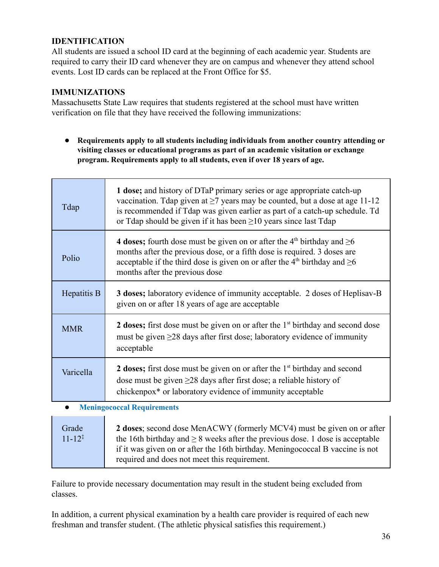## <span id="page-36-0"></span>**IDENTIFICATION**

All students are issued a school ID card at the beginning of each academic year. Students are required to carry their ID card whenever they are on campus and whenever they attend school events. Lost ID cards can be replaced at the Front Office for \$5.

## <span id="page-36-1"></span>**IMMUNIZATIONS**

Massachusetts State Law requires that students registered at the school must have written verification on file that they have received the following immunizations:

**● Requirements apply to all students including individuals from another country attending or visiting classes or educational programs as part of an academic visitation or exchange program. Requirements apply to all students, even if over 18 years of age.**

| Tdap        | 1 dose; and history of DTaP primary series or age appropriate catch-up<br>vaccination. Tdap given at $\geq$ 7 years may be counted, but a dose at age 11-12<br>is recommended if Tdap was given earlier as part of a catch-up schedule. Td<br>or Tdap should be given if it has been $\geq 10$ years since last Tdap |
|-------------|----------------------------------------------------------------------------------------------------------------------------------------------------------------------------------------------------------------------------------------------------------------------------------------------------------------------|
| Polio       | 4 doses; fourth dose must be given on or after the 4 <sup>th</sup> birthday and $\geq 6$<br>months after the previous dose, or a fifth dose is required. 3 doses are<br>acceptable if the third dose is given on or after the 4 <sup>th</sup> birthday and $\geq 6$<br>months after the previous dose                |
| Hepatitis B | <b>3 doses;</b> laboratory evidence of immunity acceptable. 2 doses of Heplisav-B<br>given on or after 18 years of age are acceptable                                                                                                                                                                                |
| <b>MMR</b>  | 2 doses; first dose must be given on or after the 1 <sup>st</sup> birthday and second dose<br>must be given $\geq$ 28 days after first dose; laboratory evidence of immunity<br>acceptable                                                                                                                           |
| Varicella   | 2 doses; first dose must be given on or after the $1st$ birthday and second<br>dose must be given $\geq$ 28 days after first dose; a reliable history of<br>chickenpox <sup>*</sup> or laboratory evidence of immunity acceptable                                                                                    |
| $\bullet$   | <b>Meningococcal Requirements</b>                                                                                                                                                                                                                                                                                    |
| Grade       | 2 doses; second dose MenACWY (formerly MCV4) must be given on or after                                                                                                                                                                                                                                               |

| Grade                | 2 doses; second dose MenACWY (formerly MCV4) must be given on or after             |
|----------------------|------------------------------------------------------------------------------------|
| $11 - 12^{\ddagger}$ | the 16th birthday and $\geq 8$ weeks after the previous dose. 1 dose is acceptable |
|                      | if it was given on or after the 16th birthday. Meningococcal B vaccine is not      |
|                      | required and does not meet this requirement.                                       |

Failure to provide necessary documentation may result in the student being excluded from classes.

In addition, a current physical examination by a health care provider is required of each new freshman and transfer student. (The athletic physical satisfies this requirement.)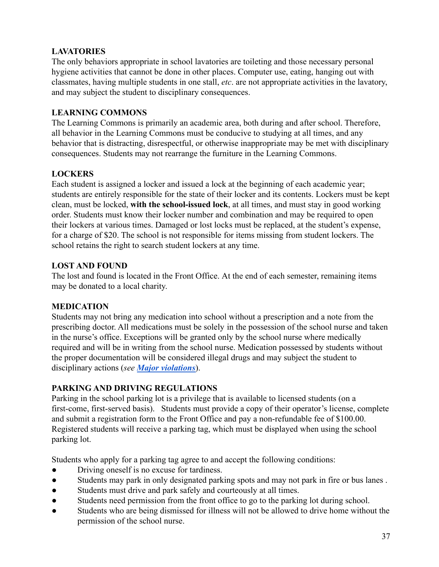## **LAVATORIES**

The only behaviors appropriate in school lavatories are toileting and those necessary personal hygiene activities that cannot be done in other places. Computer use, eating, hanging out with classmates, having multiple students in one stall, *etc*. are not appropriate activities in the lavatory, and may subject the student to disciplinary consequences.

## **LEARNING COMMONS**

The Learning Commons is primarily an academic area, both during and after school. Therefore, all behavior in the Learning Commons must be conducive to studying at all times, and any behavior that is distracting, disrespectful, or otherwise inappropriate may be met with disciplinary consequences. Students may not rearrange the furniture in the Learning Commons.

## <span id="page-37-0"></span>**LOCKERS**

Each student is assigned a locker and issued a lock at the beginning of each academic year; students are entirely responsible for the state of their locker and its contents. Lockers must be kept clean, must be locked, **with the school-issued lock**, at all times, and must stay in good working order. Students must know their locker number and combination and may be required to open their lockers at various times. Damaged or lost locks must be replaced, at the student's expense, for a charge of \$20. The school is not responsible for items missing from student lockers. The school retains the right to search student lockers at any time.

## <span id="page-37-1"></span>**LOST AND FOUND**

The lost and found is located in the Front Office. At the end of each semester, remaining items may be donated to a local charity.

## <span id="page-37-2"></span>**MEDICATION**

Students may not bring any medication into school without a prescription and a note from the prescribing doctor. All medications must be solely in the possession of the school nurse and taken in the nurse's office. Exceptions will be granted only by the school nurse where medically required and will be in writing from the school nurse. Medication possessed by students without the proper documentation will be considered illegal drugs and may subject the student to disciplinary actions (*see [Major violations](#page-23-0)*).

## <span id="page-37-3"></span>**PARKING AND DRIVING REGULATIONS**

Parking in the school parking lot is a privilege that is available to licensed students (on a first-come, first-served basis). Students must provide a copy of their operator's license, complete and submit a registration form to the Front Office and pay a non-refundable fee of \$100.00. Registered students will receive a parking tag, which must be displayed when using the school parking lot.

Students who apply for a parking tag agree to and accept the following conditions:

- Driving oneself is no excuse for tardiness.
- Students may park in only designated parking spots and may not park in fire or bus lanes .
- Students must drive and park safely and courteously at all times.
- Students need permission from the front office to go to the parking lot during school.
- Students who are being dismissed for illness will not be allowed to drive home without the permission of the school nurse.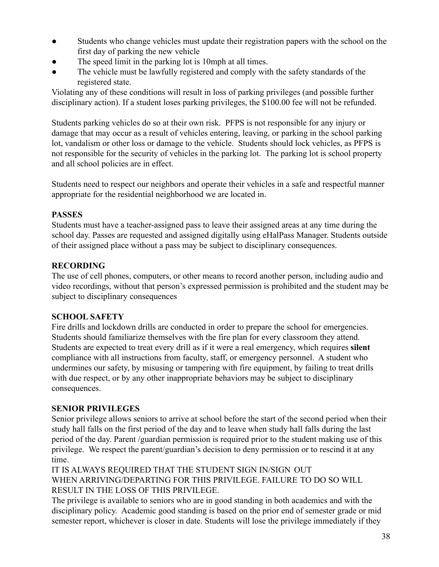- Students who change vehicles must update their registration papers with the school on the first day of parking the new vehicle
- The speed limit in the parking lot is 10mph at all times.
- The vehicle must be lawfully registered and comply with the safety standards of the registered state.

Violating any of these conditions will result in loss of parking privileges (and possible further disciplinary action). If a student loses parking privileges, the \$100.00 fee will not be refunded.

Students parking vehicles do so at their own risk. PFPS is not responsible for any injury or damage that may occur as a result of vehicles entering, leaving, or parking in the school parking lot, vandalism or other loss or damage to the vehicle. Students should lock vehicles, as PFPS is not responsible for the security of vehicles in the parking lot. The parking lot is school property and all school policies are in effect.

Students need to respect our neighbors and operate their vehicles in a safe and respectful manner appropriate for the residential neighborhood we are located in.

## <span id="page-38-0"></span>**PASSES**

Students must have a teacher-assigned pass to leave their assigned areas at any time during the school day. Passes are requested and assigned digitally using eHalPass Manager. Students outside of their assigned place without a pass may be subject to disciplinary consequences.

## <span id="page-38-1"></span>**RECORDING**

The use of cell phones, computers, or other means to record another person, including audio and video recordings, without that person's expressed permission is prohibited and the student may be subject to disciplinary consequences

## <span id="page-38-2"></span>**SCHOOL SAFETY**

Fire drills and lockdown drills are conducted in order to prepare the school for emergencies. Students should familiarize themselves with the fire plan for every classroom they attend. Students are expected to treat every drill as if it were a real emergency, which requires **silent** compliance with all instructions from faculty, staff, or emergency personnel. A student who undermines our safety, by misusing or tampering with fire equipment, by failing to treat drills with due respect, or by any other inappropriate behaviors may be subject to disciplinary consequences.

## **SENIOR PRIVILEGES**

Senior privilege allows seniors to arrive at school before the start of the second period when their study hall falls on the first period of the day and to leave when study hall falls during the last period of the day. Parent /guardian permission is required prior to the student making use of this privilege. We respect the parent/guardian's decision to deny permission or to rescind it at any time.

IT IS ALWAYS REQUIRED THAT THE STUDENT SIGN IN/SIGN OUT WHEN ARRIVING/DEPARTING FOR THIS PRIVILEGE. FAILURE TO DO SO WILL RESULT IN THE LOSS OF THIS PRIVILEGE.

The privilege is available to seniors who are in good standing in both academics and with the disciplinary policy. Academic good standing is based on the prior end of semester grade or mid semester report, whichever is closer in date. Students will lose the privilege immediately if they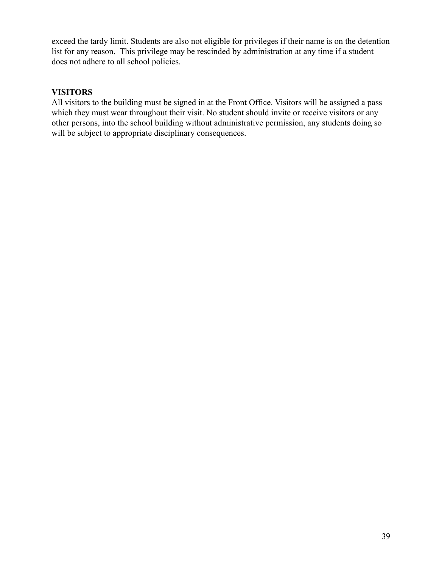exceed the tardy limit. Students are also not eligible for privileges if their name is on the detention list for any reason. This privilege may be rescinded by administration at any time if a student does not adhere to all school policies.

## <span id="page-39-0"></span>**VISITORS**

All visitors to the building must be signed in at the Front Office. Visitors will be assigned a pass which they must wear throughout their visit. No student should invite or receive visitors or any other persons, into the school building without administrative permission, any students doing so will be subject to appropriate disciplinary consequences.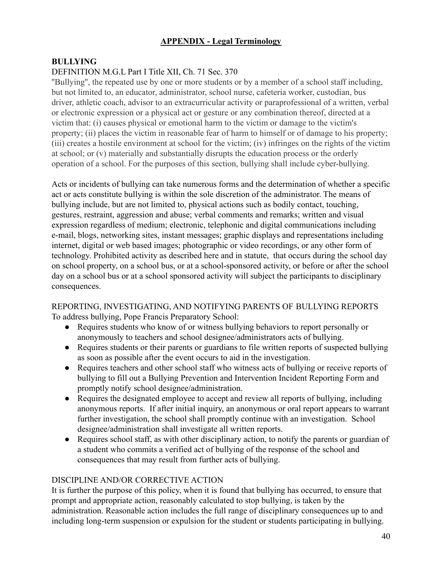## **APPENDIX - Legal Terminology**

## <span id="page-40-1"></span><span id="page-40-0"></span>**BULLYING**

## DEFINITION M.G.L Part I Title XII, Ch. 71 Sec. 370

''Bullying'', the repeated use by one or more students or by a member of a school staff including, but not limited to, an educator, administrator, school nurse, cafeteria worker, custodian, bus driver, athletic coach, advisor to an extracurricular activity or paraprofessional of a written, verbal or electronic expression or a physical act or gesture or any combination thereof, directed at a victim that: (i) causes physical or emotional harm to the victim or damage to the victim's property; (ii) places the victim in reasonable fear of harm to himself or of damage to his property; (iii) creates a hostile environment at school for the victim; (iv) infringes on the rights of the victim at school; or (v) materially and substantially disrupts the education process or the orderly operation of a school. For the purposes of this section, bullying shall include cyber-bullying.

Acts or incidents of bullying can take numerous forms and the determination of whether a specific act or acts constitute bullying is within the sole discretion of the administrator. The means of bullying include, but are not limited to, physical actions such as bodily contact, touching, gestures, restraint, aggression and abuse; verbal comments and remarks; written and visual expression regardless of medium; electronic, telephonic and digital communications including e-mail, blogs, networking sites, instant messages; graphic displays and representations including internet, digital or web based images; photographic or video recordings, or any other form of technology. Prohibited activity as described here and in statute, that occurs during the school day on school property, on a school bus, or at a school-sponsored activity, or before or after the school day on a school bus or at a school sponsored activity will subject the participants to disciplinary consequences.

## REPORTING, INVESTIGATING, AND NOTIFYING PARENTS OF BULLYING REPORTS To address bullying, Pope Francis Preparatory School:

- Requires students who know of or witness bullying behaviors to report personally or anonymously to teachers and school designee/administrators acts of bullying.
- Requires students or their parents or guardians to file written reports of suspected bullying as soon as possible after the event occurs to aid in the investigation.
- Requires teachers and other school staff who witness acts of bullying or receive reports of bullying to fill out a Bullying Prevention and Intervention Incident Reporting Form and promptly notify school designee/administration.
- Requires the designated employee to accept and review all reports of bullying, including anonymous reports. If after initial inquiry, an anonymous or oral report appears to warrant further investigation, the school shall promptly continue with an investigation. School designee/administration shall investigate all written reports.
- Requires school staff, as with other disciplinary action, to notify the parents or guardian of a student who commits a verified act of bullying of the response of the school and consequences that may result from further acts of bullying.

## DISCIPLINE AND/OR CORRECTIVE ACTION

It is further the purpose of this policy, when it is found that bullying has occurred, to ensure that prompt and appropriate action, reasonably calculated to stop bullying, is taken by the administration. Reasonable action includes the full range of disciplinary consequences up to and including long-term suspension or expulsion for the student or students participating in bullying.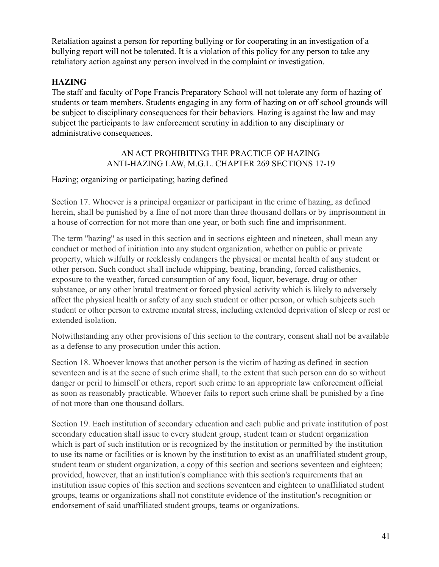Retaliation against a person for reporting bullying or for cooperating in an investigation of a bullying report will not be tolerated. It is a violation of this policy for any person to take any retaliatory action against any person involved in the complaint or investigation.

## <span id="page-41-0"></span>**HAZING**

The staff and faculty of Pope Francis Preparatory School will not tolerate any form of hazing of students or team members. Students engaging in any form of hazing on or off school grounds will be subject to disciplinary consequences for their behaviors. Hazing is against the law and may subject the participants to law enforcement scrutiny in addition to any disciplinary or administrative consequences.

## AN ACT PROHIBITING THE PRACTICE OF HAZING ANTI-HAZING LAW, M.G.L. CHAPTER 269 SECTIONS 17-19

## Hazing; organizing or participating; hazing defined

Section 17. Whoever is a principal organizer or participant in the crime of hazing, as defined herein, shall be punished by a fine of not more than three thousand dollars or by imprisonment in a house of correction for not more than one year, or both such fine and imprisonment.

The term ''hazing'' as used in this section and in sections eighteen and nineteen, shall mean any conduct or method of initiation into any student organization, whether on public or private property, which wilfully or recklessly endangers the physical or mental health of any student or other person. Such conduct shall include whipping, beating, branding, forced calisthenics, exposure to the weather, forced consumption of any food, liquor, beverage, drug or other substance, or any other brutal treatment or forced physical activity which is likely to adversely affect the physical health or safety of any such student or other person, or which subjects such student or other person to extreme mental stress, including extended deprivation of sleep or rest or extended isolation.

Notwithstanding any other provisions of this section to the contrary, consent shall not be available as a defense to any prosecution under this action.

Section 18. Whoever knows that another person is the victim of hazing as defined in section seventeen and is at the scene of such crime shall, to the extent that such person can do so without danger or peril to himself or others, report such crime to an appropriate law enforcement official as soon as reasonably practicable. Whoever fails to report such crime shall be punished by a fine of not more than one thousand dollars.

Section 19. Each institution of secondary education and each public and private institution of post secondary education shall issue to every student group, student team or student organization which is part of such institution or is recognized by the institution or permitted by the institution to use its name or facilities or is known by the institution to exist as an unaffiliated student group, student team or student organization, a copy of this section and sections seventeen and eighteen; provided, however, that an institution's compliance with this section's requirements that an institution issue copies of this section and sections seventeen and eighteen to unaffiliated student groups, teams or organizations shall not constitute evidence of the institution's recognition or endorsement of said unaffiliated student groups, teams or organizations.